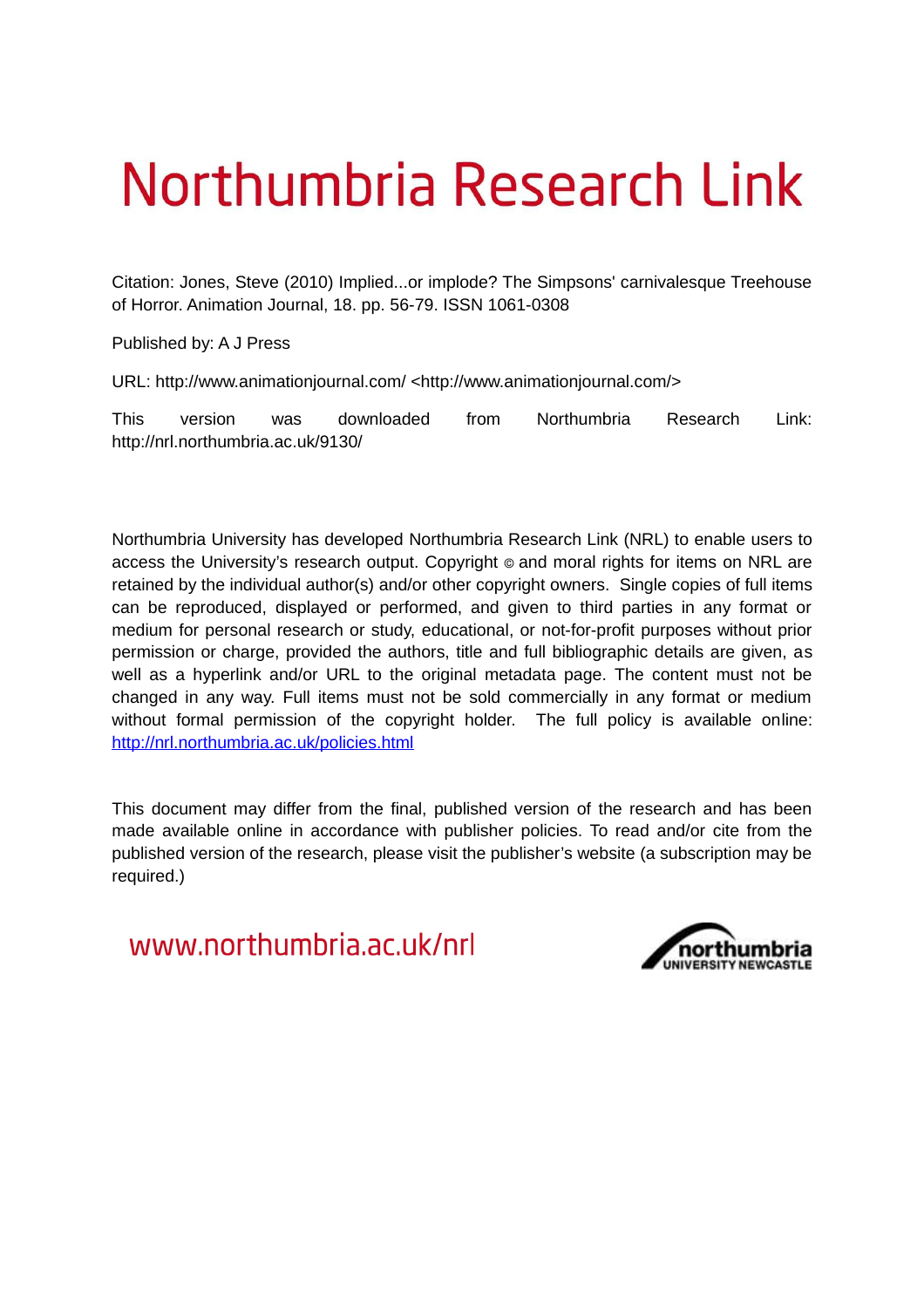# Northumbria Research Link

Citation: Jones, Steve (2010) Implied...or implode? The Simpsons' carnivalesque Treehouse of Horror. Animation Journal, 18. pp. 56-79. ISSN 1061-0308

Published by: A J Press

URL: http://www.animationjournal.com/ <http://www.animationjournal.com/>

This version was downloaded from Northumbria Research Link: http://nrl.northumbria.ac.uk/9130/

Northumbria University has developed Northumbria Research Link (NRL) to enable users to access the University's research output. Copyright © and moral rights for items on NRL are retained by the individual author(s) and/or other copyright owners. Single copies of full items can be reproduced, displayed or performed, and given to third parties in any format or medium for personal research or study, educational, or not-for-profit purposes without prior permission or charge, provided the authors, title and full bibliographic details are given, as well as a hyperlink and/or URL to the original metadata page. The content must not be changed in any way. Full items must not be sold commercially in any format or medium without formal permission of the copyright holder. The full policy is available online: <http://nrl.northumbria.ac.uk/policies.html>

This document may differ from the final, published version of the research and has been made available online in accordance with publisher policies. To read and/or cite from the published version of the research, please visit the publisher's website (a subscription may be required.)

www.northumbria.ac.uk/nrl

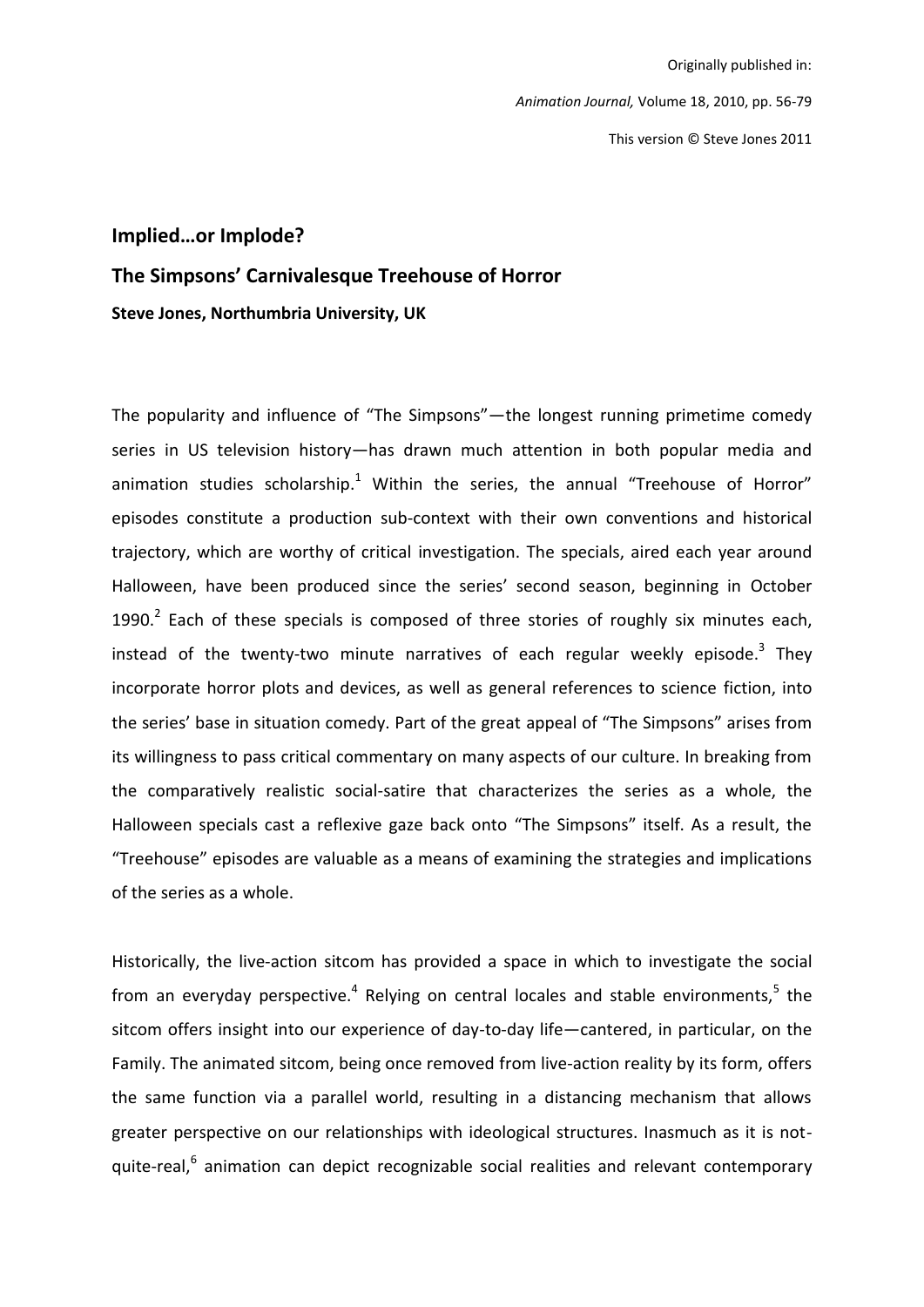Originally published in: Animation Journal, Volume 18, 2010, pp. 56-79 This version © Steve Jones 2011

#### Implied...or Implode?

#### The Simpsons' Carnivalesque Treehouse of Horror

Steve Jones, Northumbria University, UK

The popularity and influence of "The Simpsons"—the longest running primetime comedy series in US television history-has drawn much attention in both popular media and animation studies scholarship.<sup>1</sup> Within the series, the annual "Treehouse of Horror" episodes constitute a production sub-context with their own conventions and historical trajectory, which are worthy of critical investigation. The specials, aired each year around Halloween, have been produced since the series' second season, beginning in October 1990. $^2$  Each of these specials is composed of three stories of roughly six minutes each, instead of the twenty-two minute narratives of each regular weekly episode.<sup>3</sup> They incorporate horror plots and devices, as well as general references to science fiction, into the series' base in situation comedy. Part of the great appeal of "The Simpsons" arises from its willingness to pass critical commentary on many aspects of our culture. In breaking from the comparatively realistic social-satire that characterizes the series as a whole, the Halloween specials cast a reflexive gaze back onto "The Simpsons" itself. As a result, the "Treehouse" episodes are valuable as a means of examining the strategies and implications of the series as a whole.

Historically, the live-action sitcom has provided a space in which to investigate the social from an everyday perspective.<sup>4</sup> Relying on central locales and stable environments.<sup>5</sup> the sitcom offers insight into our experience of day-to-day life-cantered, in particular, on the Family. The animated sitcom, being once removed from live-action reality by its form, offers the same function via a parallel world, resulting in a distancing mechanism that allows greater perspective on our relationships with ideological structures. Inasmuch as it is notquite-real,<sup>6</sup> animation can depict recognizable social realities and relevant contemporary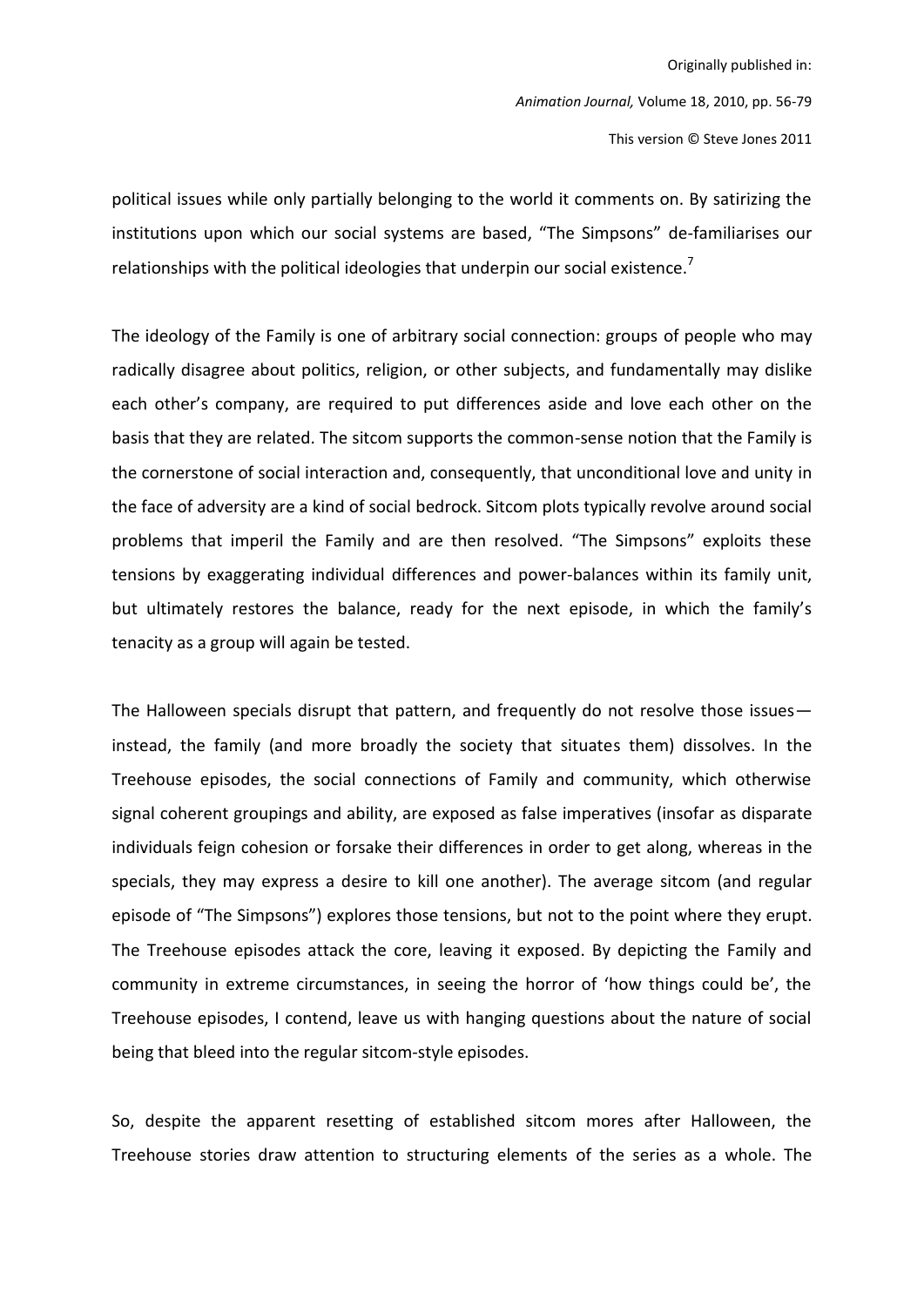political issues while only partially belonging to the world it comments on. By satirizing the institutions upon which our social systems are based, "The Simpsons" de-familiarises our relationships with the political ideologies that underpin our social existence.<sup>7</sup>

The ideology of the Family is one of arbitrary social connection: groups of people who may radically disagree about politics, religion, or other subjects, and fundamentally may dislike each other's company, are required to put differences aside and love each other on the basis that they are related. The sitcom supports the common-sense notion that the Family is the cornerstone of social interaction and, consequently, that unconditional love and unity in the face of adversity are a kind of social bedrock. Sitcom plots typically revolve around social problems that imperil the Family and are then resolved. "The Simpsons" exploits these tensions by exaggerating individual differences and power-balances within its family unit, but ultimately restores the balance, ready for the next episode, in which the family's tenacity as a group will again be tested.

The Halloween specials disrupt that pattern, and frequently do not resolve those issuesinstead, the family (and more broadly the society that situates them) dissolves. In the Treehouse episodes, the social connections of Family and community, which otherwise signal coherent groupings and ability, are exposed as false imperatives (insofar as disparate individuals feign cohesion or forsake their differences in order to get along, whereas in the specials, they may express a desire to kill one another). The average sitcom (and regular episode of "The Simpsons") explores those tensions, but not to the point where they erupt. The Treehouse episodes attack the core, leaving it exposed. By depicting the Family and community in extreme circumstances, in seeing the horror of 'how things could be', the Treehouse episodes, I contend, leave us with hanging questions about the nature of social being that bleed into the regular sitcom-style episodes.

So, despite the apparent resetting of established sitcom mores after Halloween, the Treehouse stories draw attention to structuring elements of the series as a whole. The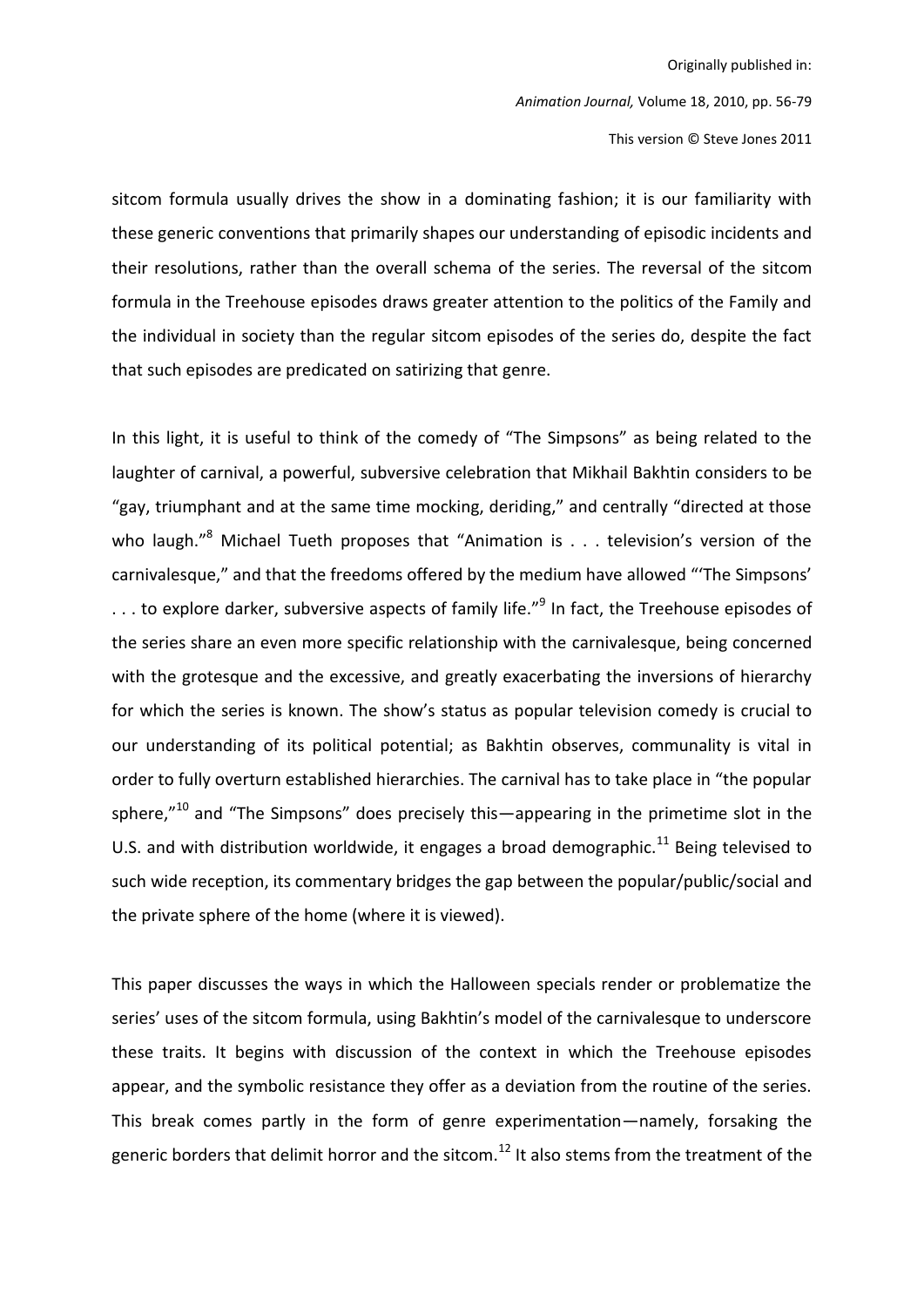This version © Steve Jones 2011

sitcom formula usually drives the show in a dominating fashion; it is our familiarity with these generic conventions that primarily shapes our understanding of episodic incidents and their resolutions, rather than the overall schema of the series. The reversal of the sitcom formula in the Treehouse episodes draws greater attention to the politics of the Family and the individual in society than the regular sitcom episodes of the series do, despite the fact that such episodes are predicated on satirizing that genre.

In this light, it is useful to think of the comedy of "The Simpsons" as being related to the laughter of carnival, a powerful, subversive celebration that Mikhail Bakhtin considers to be "gay, triumphant and at the same time mocking, deriding," and centrally "directed at those who laugh."<sup>8</sup> Michael Tueth proposes that "Animation is  $\ldots$  television's version of the carnivalesque," and that the freedoms offered by the medium have allowed "The Simpsons'  $\dots$  to explore darker, subversive aspects of family life."<sup>9</sup> In fact, the Treehouse episodes of the series share an even more specific relationship with the carnivalesque, being concerned with the grotesque and the excessive, and greatly exacerbating the inversions of hierarchy for which the series is known. The show's status as popular television comedy is crucial to our understanding of its political potential; as Bakhtin observes, communality is vital in order to fully overturn established hierarchies. The carnival has to take place in "the popular sphere,"<sup>10</sup> and "The Simpsons" does precisely this—appearing in the primetime slot in the U.S. and with distribution worldwide, it engages a broad demographic.<sup>11</sup> Being televised to such wide reception, its commentary bridges the gap between the popular/public/social and the private sphere of the home (where it is viewed).

This paper discusses the ways in which the Halloween specials render or problematize the series' uses of the sitcom formula, using Bakhtin's model of the carnivalesque to underscore these traits. It begins with discussion of the context in which the Treehouse episodes appear, and the symbolic resistance they offer as a deviation from the routine of the series. This break comes partly in the form of genre experimentation—namely, forsaking the generic borders that delimit horror and the sitcom.<sup>12</sup> It also stems from the treatment of the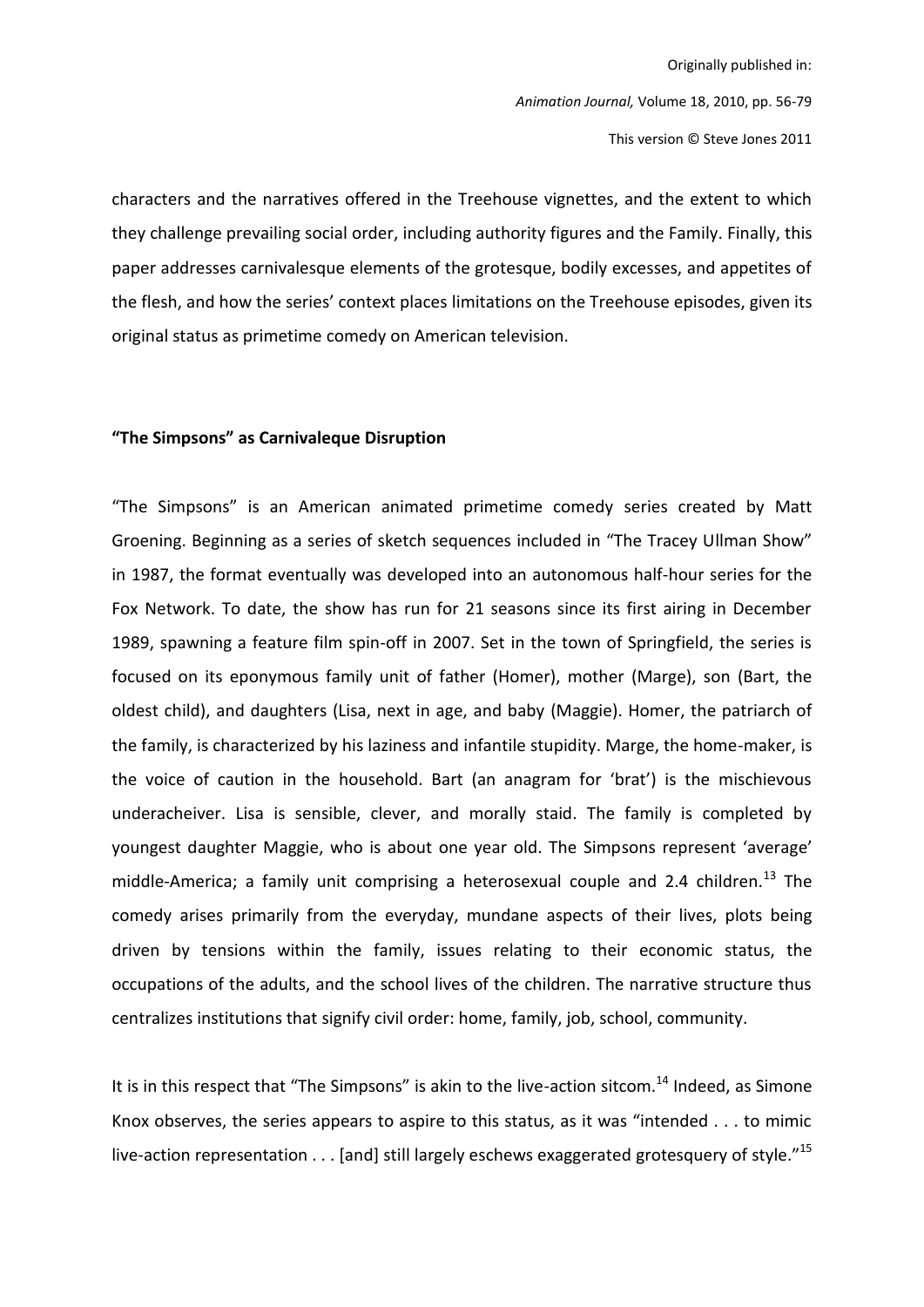Originally published in: Animation Journal, Volume 18, 2010, pp. 56-79 This version © Steve Jones 2011

characters and the narratives offered in the Treehouse vignettes, and the extent to which they challenge prevailing social order, including authority figures and the Family. Finally, this paper addresses carnivalesque elements of the grotesque, bodily excesses, and appetites of the flesh, and how the series' context places limitations on the Treehouse episodes, given its original status as primetime comedy on American television.

#### "The Simpsons" as Carnivaleque Disruption

"The Simpsons" is an American animated primetime comedy series created by Matt Groening. Beginning as a series of sketch sequences included in "The Tracey Ullman Show" in 1987, the format eventually was developed into an autonomous half-hour series for the Fox Network. To date, the show has run for 21 seasons since its first airing in December 1989, spawning a feature film spin-off in 2007. Set in the town of Springfield, the series is focused on its eponymous family unit of father (Homer), mother (Marge), son (Bart, the oldest child), and daughters (Lisa, next in age, and baby (Maggie). Homer, the patriarch of the family, is characterized by his laziness and infantile stupidity. Marge, the home-maker, is the voice of caution in the household. Bart (an anagram for 'brat') is the mischievous underacheiver. Lisa is sensible, clever, and morally staid. The family is completed by youngest daughter Maggie, who is about one year old. The Simpsons represent 'average' middle-America; a family unit comprising a heterosexual couple and 2.4 children.<sup>13</sup> The comedy arises primarily from the everyday, mundane aspects of their lives, plots being driven by tensions within the family, issues relating to their economic status, the occupations of the adults, and the school lives of the children. The narrative structure thus centralizes institutions that signify civil order: home, family, job, school, community.

It is in this respect that "The Simpsons" is akin to the live-action sitcom.<sup>14</sup> Indeed, as Simone Knox observes, the series appears to aspire to this status, as it was "intended . . . to mimic live-action representation  $\dots$  [and] still largely eschews exaggerated grotesquery of style."<sup>15</sup>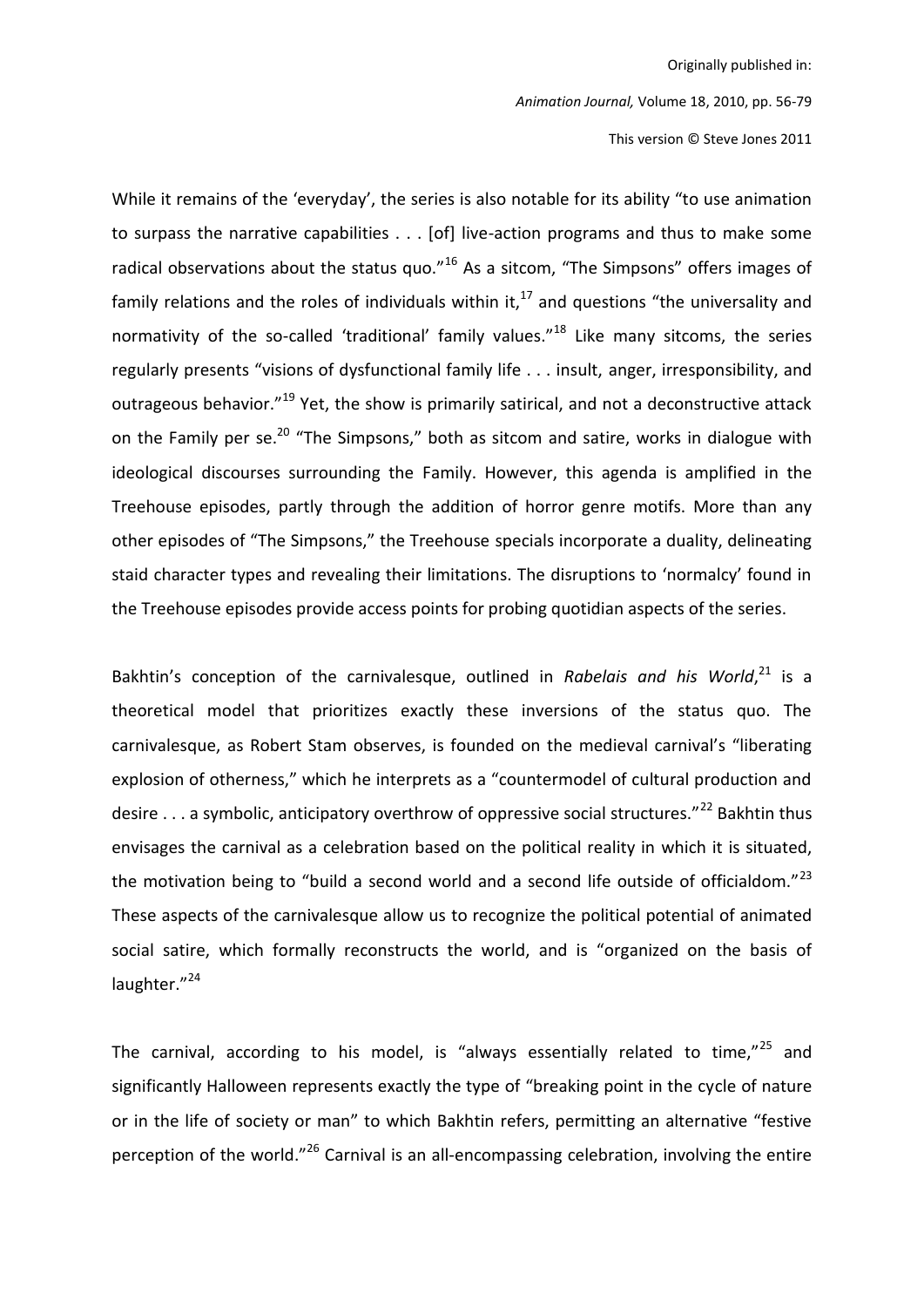Animation Journal, Volume 18, 2010, pp. 56-79

This version © Steve Jones 2011

While it remains of the 'everyday', the series is also notable for its ability "to use animation to surpass the narrative capabilities . . . [of] live-action programs and thus to make some radical observations about the status quo."<sup>16</sup> As a sitcom, "The Simpsons" offers images of family relations and the roles of individuals within it, $^{17}$  and questions "the universality and normativity of the so-called 'traditional' family values."<sup>18</sup> Like many sitcoms, the series regularly presents "visions of dysfunctional family life . . . insult, anger, irresponsibility, and outrageous behavior."<sup>19</sup> Yet, the show is primarily satirical, and not a deconstructive attack on the Family per se.<sup>20</sup> "The Simpsons," both as sitcom and satire, works in dialogue with ideological discourses surrounding the Family. However, this agenda is amplified in the Treehouse episodes, partly through the addition of horror genre motifs. More than any other episodes of "The Simpsons," the Treehouse specials incorporate a duality, delineating staid character types and revealing their limitations. The disruptions to 'normalcy' found in the Treehouse episodes provide access points for probing quotidian aspects of the series.

Bakhtin's conception of the carnivalesque, outlined in Rabelais and his World,<sup>21</sup> is a theoretical model that prioritizes exactly these inversions of the status quo. The carnivalesque, as Robert Stam observes, is founded on the medieval carnival's "liberating explosion of otherness," which he interprets as a "countermodel of cultural production and desire ... a symbolic, anticipatory overthrow of oppressive social structures."<sup>22</sup> Bakhtin thus envisages the carnival as a celebration based on the political reality in which it is situated, the motivation being to "build a second world and a second life outside of officialdom."<sup>23</sup> These aspects of the carnivalesque allow us to recognize the political potential of animated social satire, which formally reconstructs the world, and is "organized on the basis of laughter."24

The carnival, according to his model, is "always essentially related to time,"<sup>25</sup> and significantly Halloween represents exactly the type of "breaking point in the cycle of nature or in the life of society or man" to which Bakhtin refers, permitting an alternative "festive perception of the world."<sup>26</sup> Carnival is an all-encompassing celebration, involving the entire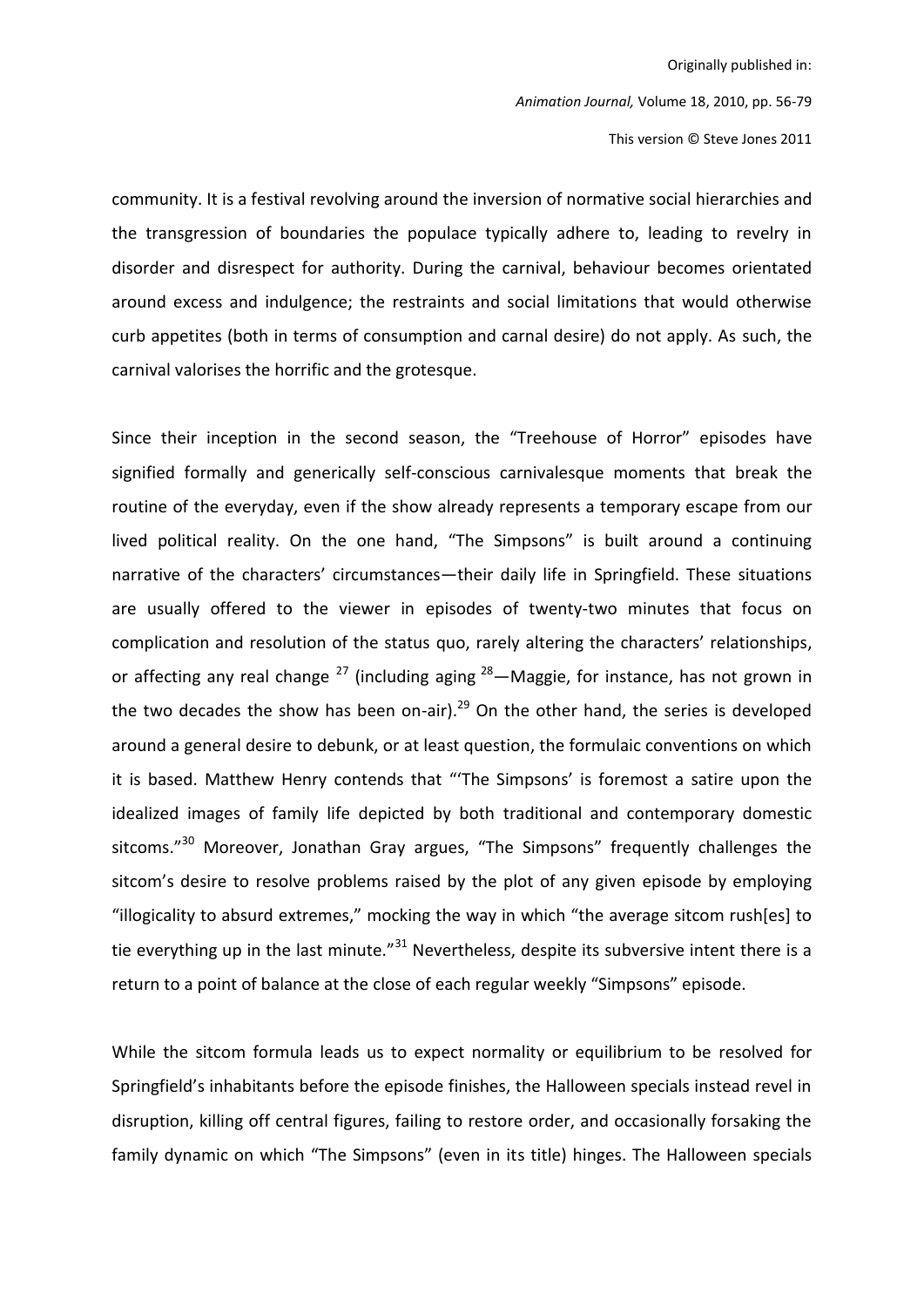This version © Steve Jones 2011

community. It is a festival revolving around the inversion of normative social hierarchies and the transgression of boundaries the populace typically adhere to, leading to revelry in disorder and disrespect for authority. During the carnival, behaviour becomes orientated around excess and indulgence; the restraints and social limitations that would otherwise curb appetites (both in terms of consumption and carnal desire) do not apply. As such, the carnival valorises the horrific and the grotesque.

Since their inception in the second season, the "Treehouse of Horror" episodes have signified formally and generically self-conscious carnivalesque moments that break the routine of the everyday, even if the show already represents a temporary escape from our lived political reality. On the one hand, "The Simpsons" is built around a continuing narrative of the characters' circumstances—their daily life in Springfield. These situations are usually offered to the viewer in episodes of twenty-two minutes that focus on complication and resolution of the status quo, rarely altering the characters' relationships, or affecting any real change  $^{27}$  (including aging  $^{28}$  – Maggie, for instance, has not grown in the two decades the show has been on-air).<sup>29</sup> On the other hand, the series is developed around a general desire to debunk, or at least question, the formulaic conventions on which it is based. Matthew Henry contends that "The Simpsons' is foremost a satire upon the idealized images of family life depicted by both traditional and contemporary domestic sitcoms."<sup>30</sup> Moreover, Jonathan Gray argues, "The Simpsons" frequently challenges the sitcom's desire to resolve problems raised by the plot of any given episode by employing "illogicality to absurd extremes," mocking the way in which "the average sitcom rush[es] to tie everything up in the last minute."<sup>31</sup> Nevertheless, despite its subversive intent there is a return to a point of balance at the close of each regular weekly "Simpsons" episode.

While the sitcom formula leads us to expect normality or equilibrium to be resolved for Springfield's inhabitants before the episode finishes, the Halloween specials instead revel in disruption, killing off central figures, failing to restore order, and occasionally forsaking the family dynamic on which "The Simpsons" (even in its title) hinges. The Halloween specials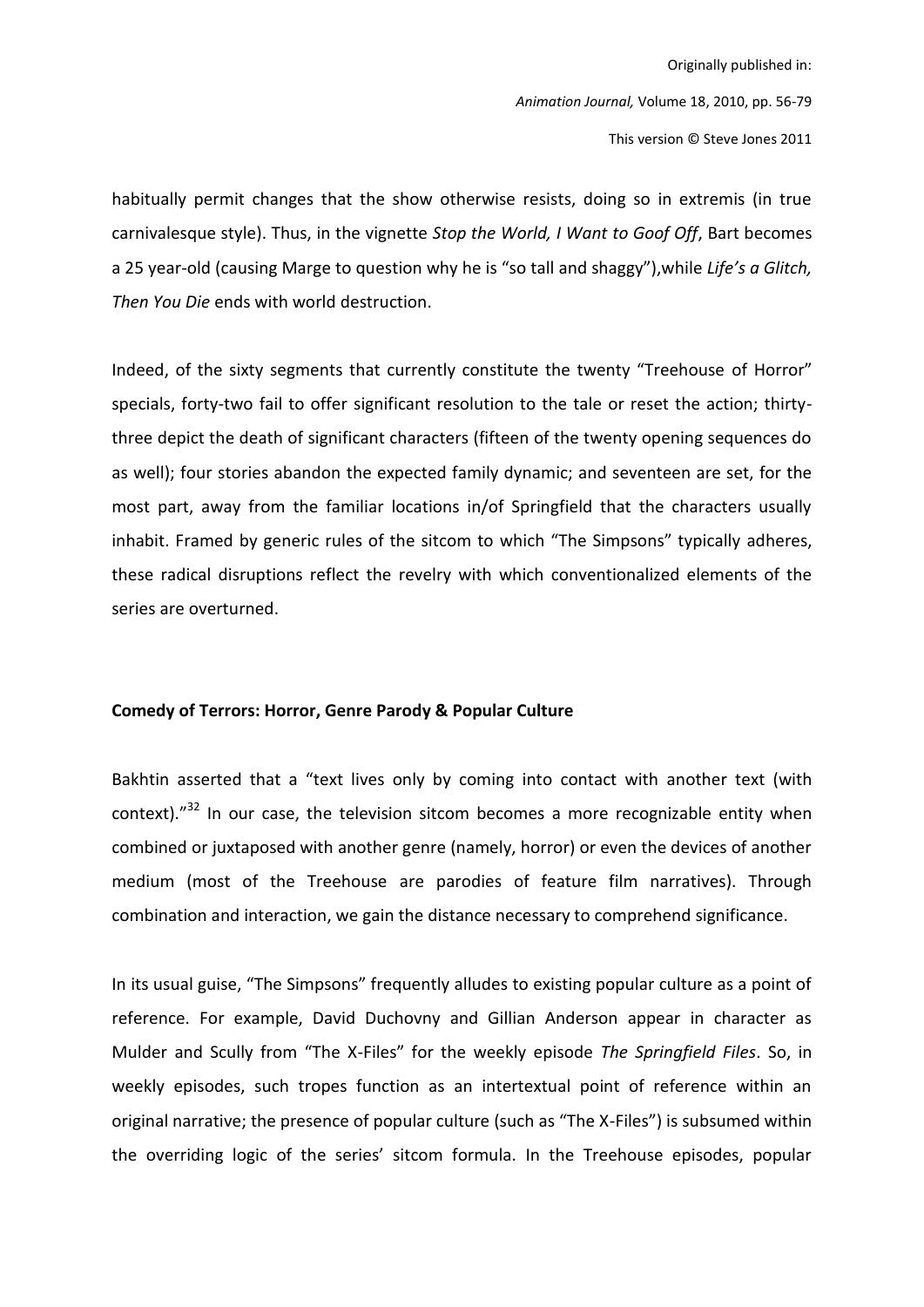habitually permit changes that the show otherwise resists, doing so in extremis (in true carnivalesque style). Thus, in the vignette Stop the World, I Want to Goof Off, Bart becomes a 25 year-old (causing Marge to question why he is "so tall and shaggy"), while Life's a Glitch, Then You Die ends with world destruction.

Indeed, of the sixty segments that currently constitute the twenty "Treehouse of Horror" specials, forty-two fail to offer significant resolution to the tale or reset the action; thirtythree depict the death of significant characters (fifteen of the twenty opening sequences do as well); four stories abandon the expected family dynamic; and seventeen are set, for the most part, away from the familiar locations in/of Springfield that the characters usually inhabit. Framed by generic rules of the sitcom to which "The Simpsons" typically adheres, these radical disruptions reflect the revelry with which conventionalized elements of the series are overturned.

#### Comedy of Terrors: Horror, Genre Parody & Popular Culture

Bakhtin asserted that a "text lives only by coming into contact with another text (with context). $^{32}$  In our case, the television sitcom becomes a more recognizable entity when combined or juxtaposed with another genre (namely, horror) or even the devices of another medium (most of the Treehouse are parodies of feature film narratives). Through combination and interaction, we gain the distance necessary to comprehend significance.

In its usual guise, "The Simpsons" frequently alludes to existing popular culture as a point of reference. For example, David Duchovny and Gillian Anderson appear in character as Mulder and Scully from "The X-Files" for the weekly episode The Springfield Files. So, in weekly episodes, such tropes function as an intertextual point of reference within an original narrative; the presence of popular culture (such as "The X-Files") is subsumed within the overriding logic of the series' sitcom formula. In the Treehouse episodes, popular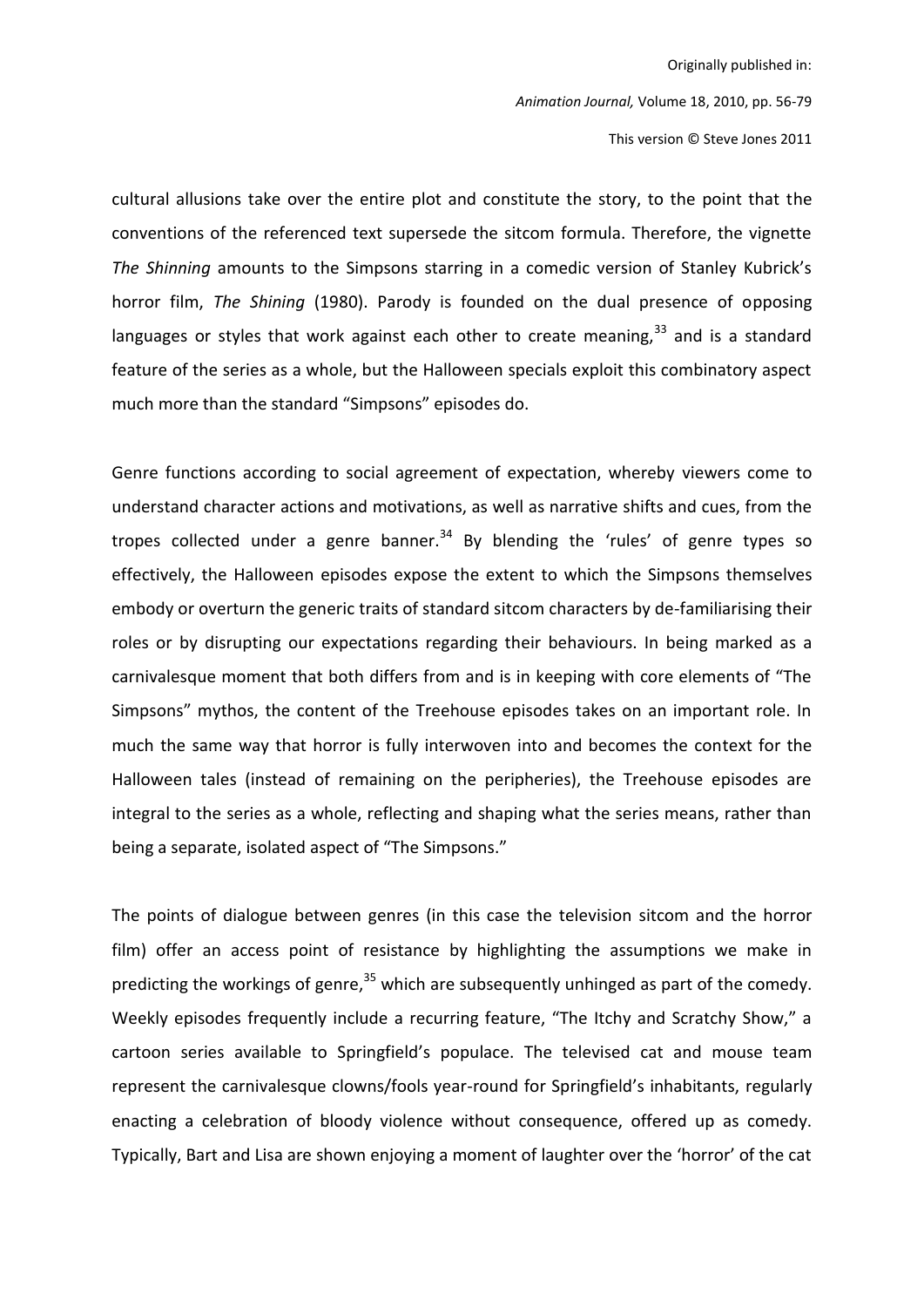This version © Steve Jones 2011

cultural allusions take over the entire plot and constitute the story, to the point that the conventions of the referenced text supersede the sitcom formula. Therefore, the vignette The Shinning amounts to the Simpsons starring in a comedic version of Stanley Kubrick's horror film, The Shining (1980). Parody is founded on the dual presence of opposing languages or styles that work against each other to create meaning,<sup>33</sup> and is a standard feature of the series as a whole, but the Halloween specials exploit this combinatory aspect much more than the standard "Simpsons" episodes do.

Genre functions according to social agreement of expectation, whereby viewers come to understand character actions and motivations, as well as narrative shifts and cues, from the tropes collected under a genre banner.<sup>34</sup> By blending the 'rules' of genre types so effectively, the Halloween episodes expose the extent to which the Simpsons themselves embody or overturn the generic traits of standard sitcom characters by de-familiarising their roles or by disrupting our expectations regarding their behaviours. In being marked as a carnivalesque moment that both differs from and is in keeping with core elements of "The Simpsons" mythos, the content of the Treehouse episodes takes on an important role. In much the same way that horror is fully interwoven into and becomes the context for the Halloween tales (instead of remaining on the peripheries), the Treehouse episodes are integral to the series as a whole, reflecting and shaping what the series means, rather than being a separate, isolated aspect of "The Simpsons."

The points of dialogue between genres (in this case the television sitcom and the horror film) offer an access point of resistance by highlighting the assumptions we make in predicting the workings of genre,<sup>35</sup> which are subsequently unhinged as part of the comedy. Weekly episodes frequently include a recurring feature, "The Itchy and Scratchy Show," a cartoon series available to Springfield's populace. The televised cat and mouse team represent the carnivalesque clowns/fools year-round for Springfield's inhabitants, regularly enacting a celebration of bloody violence without consequence, offered up as comedy. Typically, Bart and Lisa are shown enjoying a moment of laughter over the 'horror' of the cat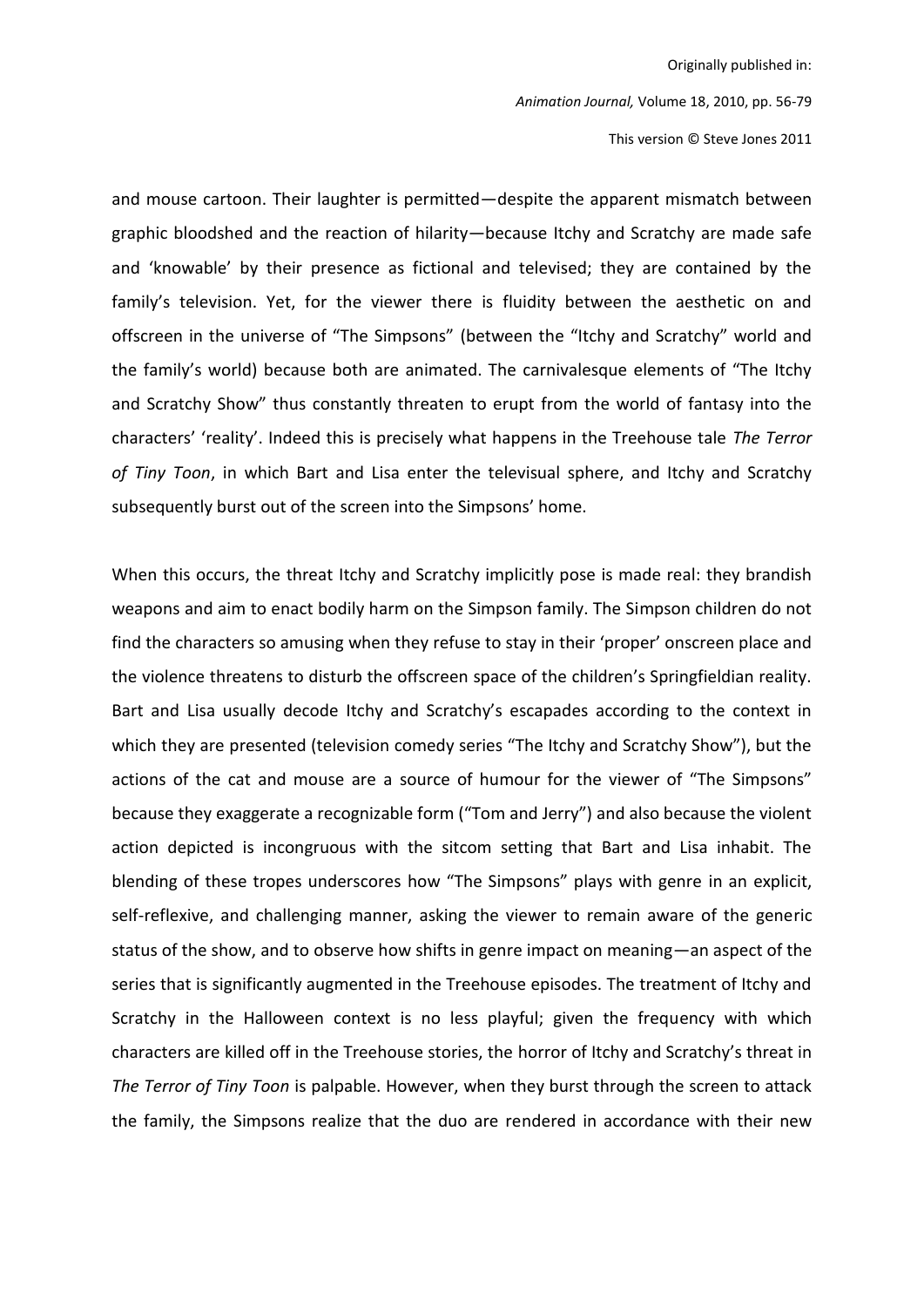Animation Journal, Volume 18, 2010, pp. 56-79

This version © Steve Jones 2011

and mouse cartoon. Their laughter is permitted-despite the apparent mismatch between graphic bloodshed and the reaction of hilarity-because Itchy and Scratchy are made safe and 'knowable' by their presence as fictional and televised; they are contained by the family's television. Yet, for the viewer there is fluidity between the aesthetic on and offscreen in the universe of "The Simpsons" (between the "Itchy and Scratchy" world and the family's world) because both are animated. The carnivalesque elements of "The Itchy and Scratchy Show" thus constantly threaten to erupt from the world of fantasy into the characters' 'reality'. Indeed this is precisely what happens in the Treehouse tale The Terror of Tiny Toon, in which Bart and Lisa enter the televisual sphere, and Itchy and Scratchy subsequently burst out of the screen into the Simpsons' home.

When this occurs, the threat Itchy and Scratchy implicitly pose is made real: they brandish weapons and aim to enact bodily harm on the Simpson family. The Simpson children do not find the characters so amusing when they refuse to stay in their 'proper' onscreen place and the violence threatens to disturb the offscreen space of the children's Springfieldian reality. Bart and Lisa usually decode Itchy and Scratchy's escapades according to the context in which they are presented (television comedy series "The Itchy and Scratchy Show"), but the actions of the cat and mouse are a source of humour for the viewer of "The Simpsons" because they exaggerate a recognizable form ("Tom and Jerry") and also because the violent action depicted is incongruous with the sitcom setting that Bart and Lisa inhabit. The blending of these tropes underscores how "The Simpsons" plays with genre in an explicit, self-reflexive, and challenging manner, asking the viewer to remain aware of the generic status of the show, and to observe how shifts in genre impact on meaning—an aspect of the series that is significantly augmented in the Treehouse episodes. The treatment of Itchy and Scratchy in the Halloween context is no less playful; given the frequency with which characters are killed off in the Treehouse stories, the horror of Itchy and Scratchy's threat in The Terror of Tiny Toon is palpable. However, when they burst through the screen to attack the family, the Simpsons realize that the duo are rendered in accordance with their new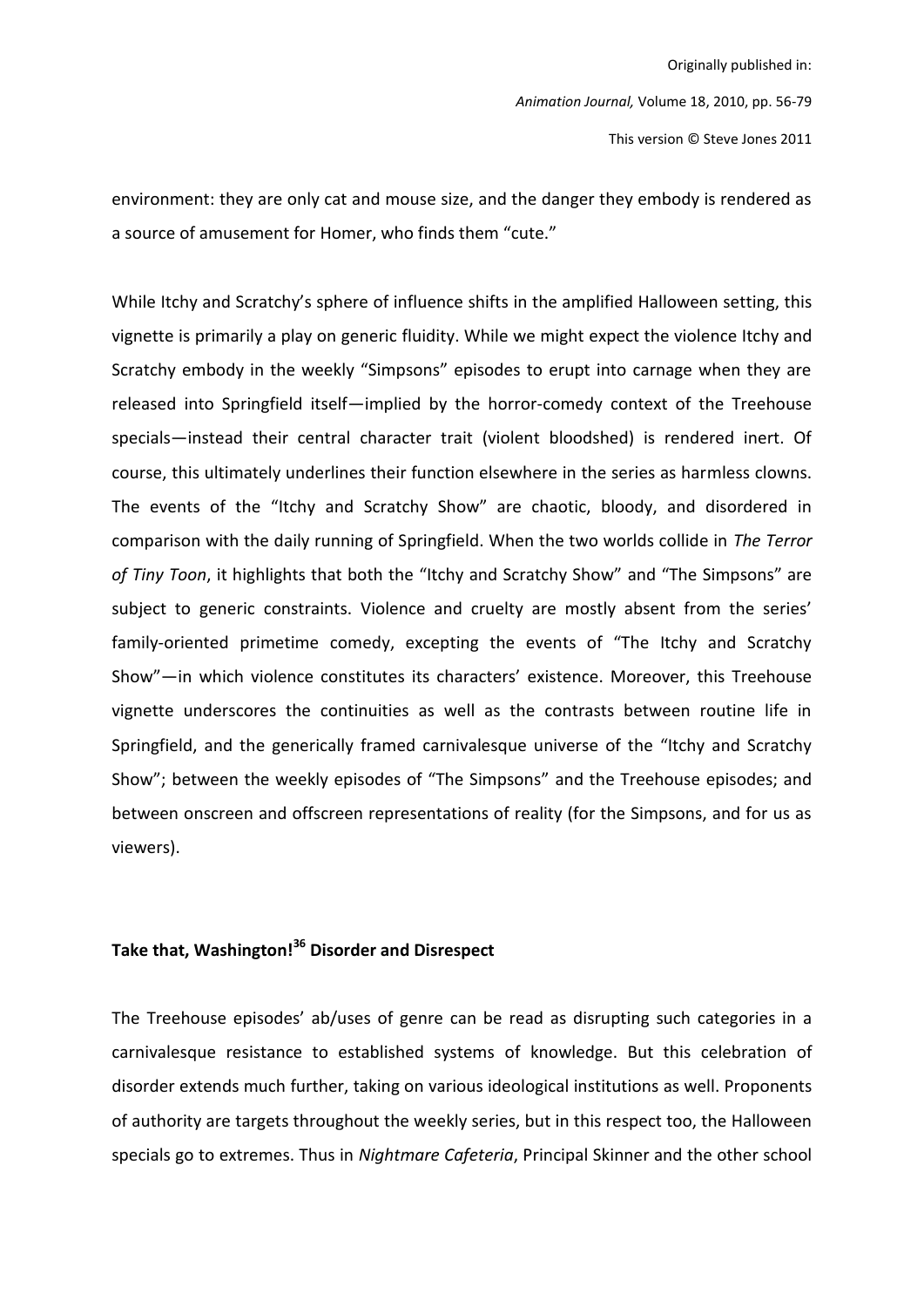environment: they are only cat and mouse size, and the danger they embody is rendered as a source of amusement for Homer, who finds them "cute."

While Itchy and Scratchy's sphere of influence shifts in the amplified Halloween setting, this vignette is primarily a play on generic fluidity. While we might expect the violence Itchy and Scratchy embody in the weekly "Simpsons" episodes to erupt into carnage when they are released into Springfield itself—implied by the horror-comedy context of the Treehouse specials—instead their central character trait (violent bloodshed) is rendered inert. Of course, this ultimately underlines their function elsewhere in the series as harmless clowns. The events of the "Itchy and Scratchy Show" are chaotic, bloody, and disordered in comparison with the daily running of Springfield. When the two worlds collide in The Terror of Tiny Toon, it highlights that both the "Itchy and Scratchy Show" and "The Simpsons" are subject to generic constraints. Violence and cruelty are mostly absent from the series' family-oriented primetime comedy, excepting the events of "The Itchy and Scratchy Show"-in which violence constitutes its characters' existence. Moreover, this Treehouse vignette underscores the continuities as well as the contrasts between routine life in Springfield, and the generically framed carnivalesque universe of the "Itchy and Scratchy Show"; between the weekly episodes of "The Simpsons" and the Treehouse episodes; and between onscreen and offscreen representations of reality (for the Simpsons, and for us as viewers).

## Take that, Washington!<sup>36</sup> Disorder and Disrespect

The Treehouse episodes' ab/uses of genre can be read as disrupting such categories in a carnivalesque resistance to established systems of knowledge. But this celebration of disorder extends much further, taking on various ideological institutions as well. Proponents of authority are targets throughout the weekly series, but in this respect too, the Halloween specials go to extremes. Thus in Nightmare Cafeteria, Principal Skinner and the other school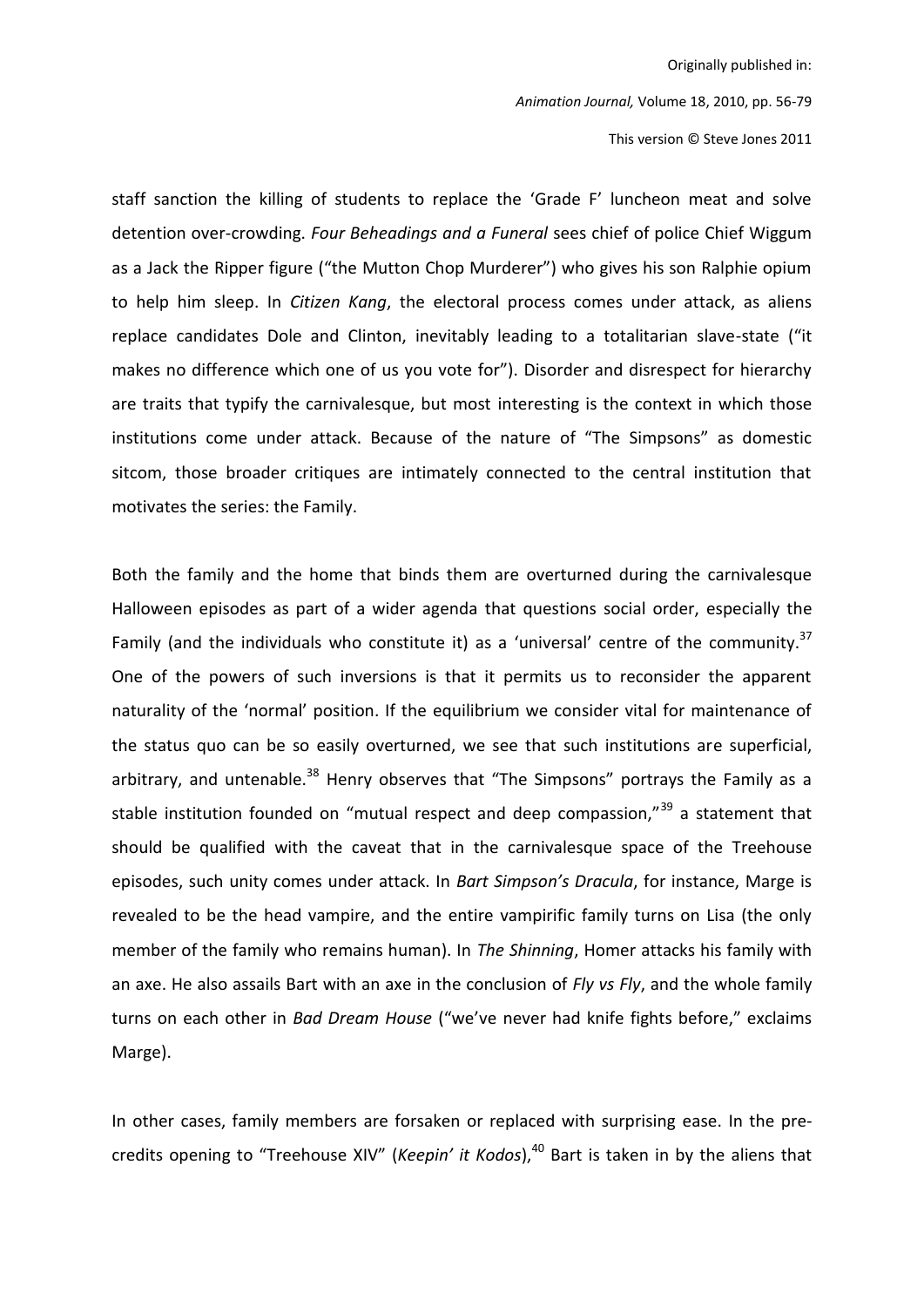Animation Journal, Volume 18, 2010, pp. 56-79

This version © Steve Jones 2011

staff sanction the killing of students to replace the 'Grade F' luncheon meat and solve detention over-crowding. Four Beheadings and a Funeral sees chief of police Chief Wiggum as a Jack the Ripper figure ("the Mutton Chop Murderer") who gives his son Ralphie opium to help him sleep. In Citizen Kang, the electoral process comes under attack, as aliens replace candidates Dole and Clinton, inevitably leading to a totalitarian slave-state ("it makes no difference which one of us you vote for"). Disorder and disrespect for hierarchy are traits that typify the carnivalesque, but most interesting is the context in which those institutions come under attack. Because of the nature of "The Simpsons" as domestic sitcom, those broader critiques are intimately connected to the central institution that motivates the series: the Family.

Both the family and the home that binds them are overturned during the carnivalesque Halloween episodes as part of a wider agenda that questions social order, especially the Family (and the individuals who constitute it) as a 'universal' centre of the community.<sup>37</sup> One of the powers of such inversions is that it permits us to reconsider the apparent naturality of the 'normal' position. If the equilibrium we consider vital for maintenance of the status quo can be so easily overturned, we see that such institutions are superficial, arbitrary, and untenable.<sup>38</sup> Henry observes that "The Simpsons" portrays the Family as a stable institution founded on "mutual respect and deep compassion,"<sup>39</sup> a statement that should be qualified with the caveat that in the carnivalesque space of the Treehouse episodes, such unity comes under attack. In Bart Simpson's Dracula, for instance, Marge is revealed to be the head vampire, and the entire vampirific family turns on Lisa (the only member of the family who remains human). In *The Shinning*, Homer attacks his family with an axe. He also assails Bart with an axe in the conclusion of Fly vs Fly, and the whole family turns on each other in Bad Dream House ("we've never had knife fights before," exclaims Marge).

In other cases, family members are forsaken or replaced with surprising ease. In the precredits opening to "Treehouse XIV" (Keepin' it Kodos),<sup>40</sup> Bart is taken in by the aliens that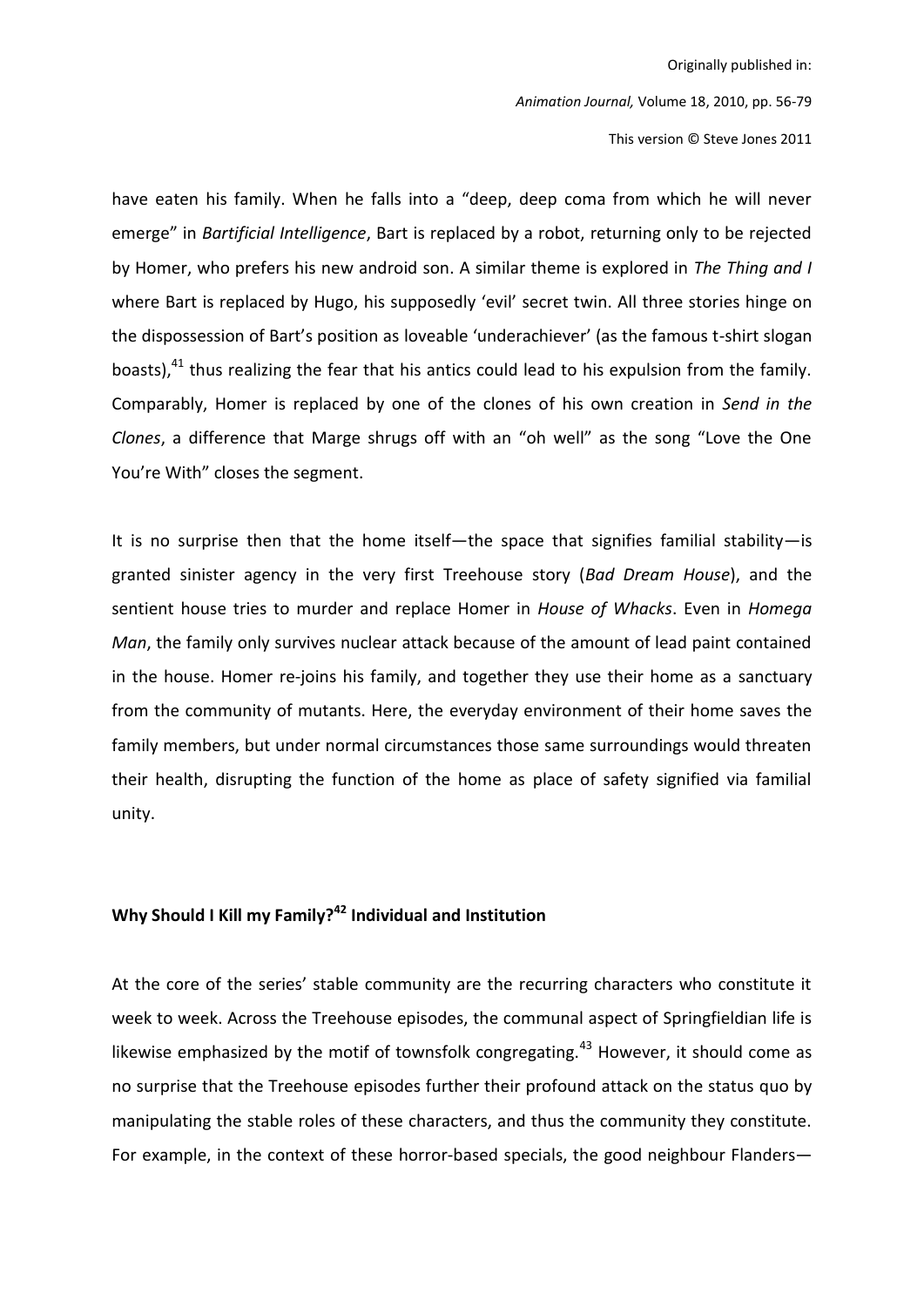Animation Journal, Volume 18, 2010, pp. 56-79

This version © Steve Jones 2011

have eaten his family. When he falls into a "deep, deep coma from which he will never emerge" in Bartificial Intelligence, Bart is replaced by a robot, returning only to be rejected by Homer, who prefers his new android son. A similar theme is explored in The Thing and I where Bart is replaced by Hugo, his supposedly 'evil' secret twin. All three stories hinge on the dispossession of Bart's position as loveable 'underachiever' (as the famous t-shirt slogan boasts),<sup>41</sup> thus realizing the fear that his antics could lead to his expulsion from the family. Comparably, Homer is replaced by one of the clones of his own creation in Send in the Clones, a difference that Marge shrugs off with an "oh well" as the song "Love the One You're With" closes the segment.

It is no surprise then that the home itself-the space that signifies familial stability-is granted sinister agency in the very first Treehouse story (Bad Dream House), and the sentient house tries to murder and replace Homer in House of Whacks. Even in Homega Man, the family only survives nuclear attack because of the amount of lead paint contained in the house. Homer re-joins his family, and together they use their home as a sanctuary from the community of mutants. Here, the everyday environment of their home saves the family members, but under normal circumstances those same surroundings would threaten their health, disrupting the function of the home as place of safety signified via familial unity.

## Why Should I Kill my Family?<sup>42</sup> Individual and Institution

At the core of the series' stable community are the recurring characters who constitute it week to week. Across the Treehouse episodes, the communal aspect of Springfieldian life is likewise emphasized by the motif of townsfolk congregating.<sup>43</sup> However, it should come as no surprise that the Treehouse episodes further their profound attack on the status quo by manipulating the stable roles of these characters, and thus the community they constitute. For example, in the context of these horror-based specials, the good neighbour Flanders-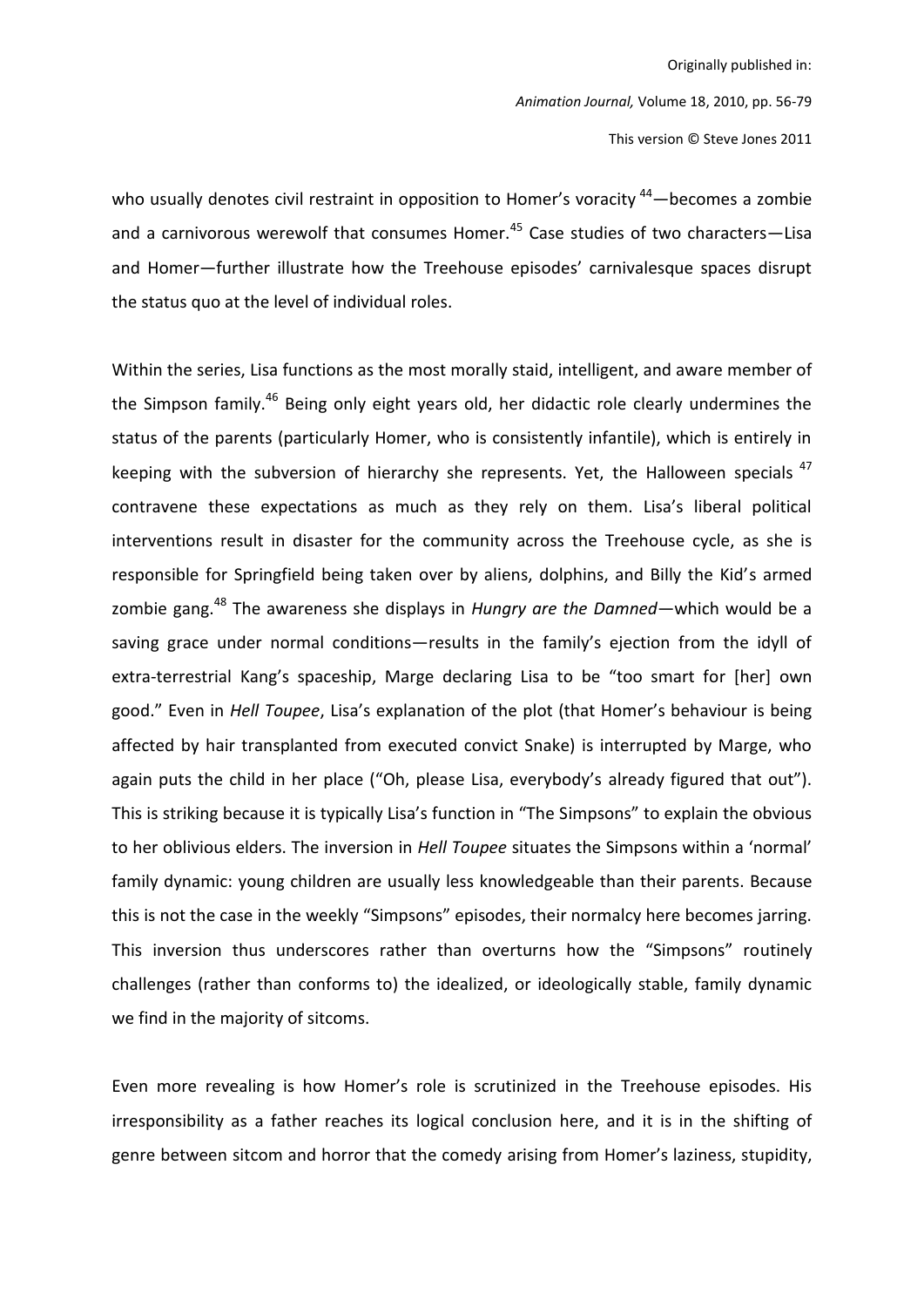Animation Journal, Volume 18, 2010, pp. 56-79 This version © Steve Jones 2011

who usually denotes civil restraint in opposition to Homer's voracity <sup>44</sup> – becomes a zombie and a carnivorous werewolf that consumes Homer.<sup>45</sup> Case studies of two characters-Lisa and Homer-further illustrate how the Treehouse episodes' carnivalesque spaces disrupt the status quo at the level of individual roles.

Within the series, Lisa functions as the most morally staid, intelligent, and aware member of the Simpson family.<sup>46</sup> Being only eight years old, her didactic role clearly undermines the status of the parents (particularly Homer, who is consistently infantile), which is entirely in keeping with the subversion of hierarchy she represents. Yet, the Halloween specials <sup>47</sup> contravene these expectations as much as they rely on them. Lisa's liberal political interventions result in disaster for the community across the Treehouse cycle, as she is responsible for Springfield being taken over by aliens, dolphins, and Billy the Kid's armed zombie gang.<sup>48</sup> The awareness she displays in *Hungry are the Damned*—which would be a saving grace under normal conditions-results in the family's ejection from the idyll of extra-terrestrial Kang's spaceship, Marge declaring Lisa to be "too smart for [her] own good." Even in Hell Toupee, Lisa's explanation of the plot (that Homer's behaviour is being affected by hair transplanted from executed convict Snake) is interrupted by Marge, who again puts the child in her place ("Oh, please Lisa, everybody's already figured that out"). This is striking because it is typically Lisa's function in "The Simpsons" to explain the obvious to her oblivious elders. The inversion in Hell Toupee situates the Simpsons within a 'normal' family dynamic: young children are usually less knowledgeable than their parents. Because this is not the case in the weekly "Simpsons" episodes, their normalcy here becomes jarring. This inversion thus underscores rather than overturns how the "Simpsons" routinely challenges (rather than conforms to) the idealized, or ideologically stable, family dynamic we find in the majority of sitcoms.

Even more revealing is how Homer's role is scrutinized in the Treehouse episodes. His irresponsibility as a father reaches its logical conclusion here, and it is in the shifting of genre between sitcom and horror that the comedy arising from Homer's laziness, stupidity,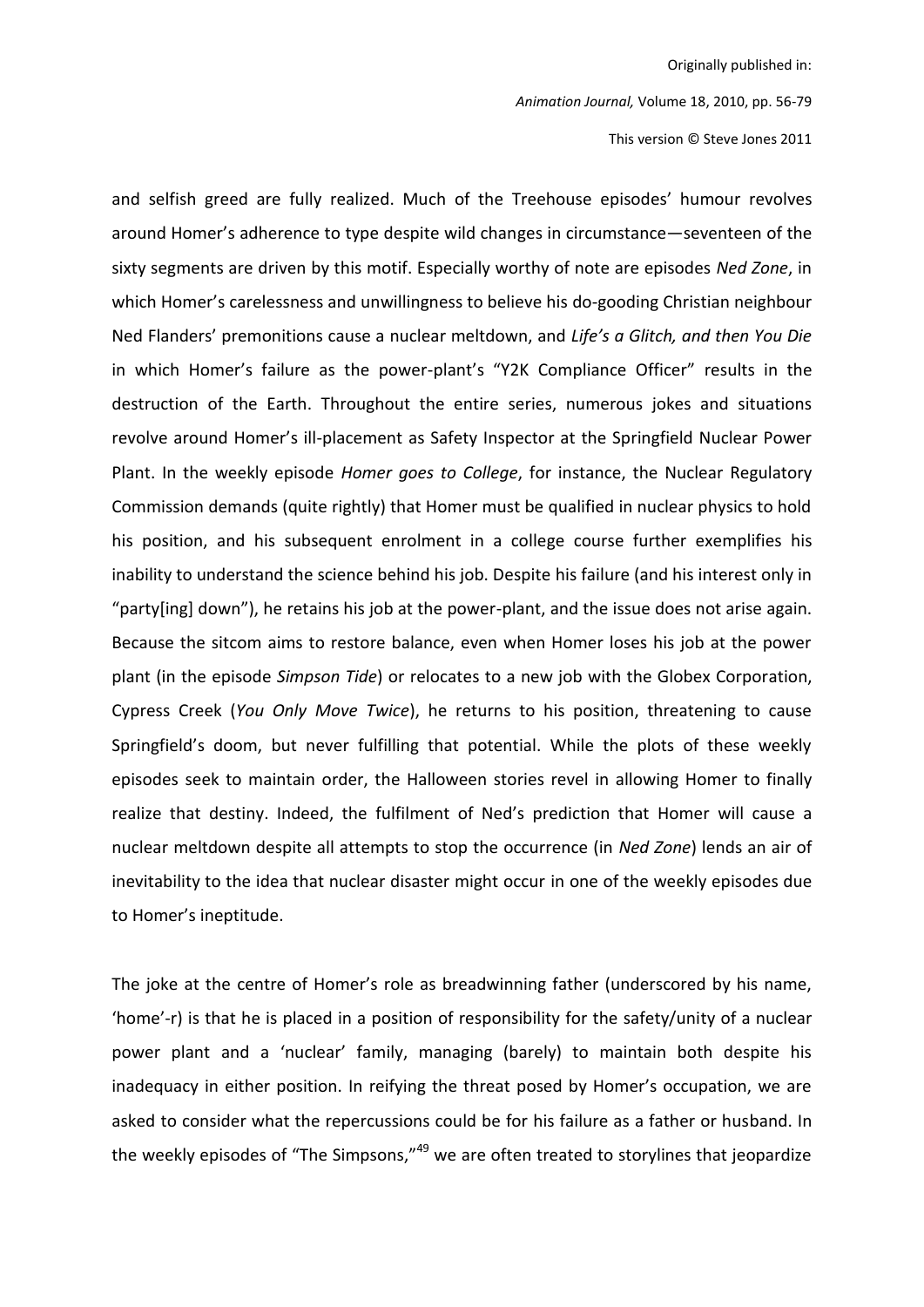This version © Steve Jones 2011

and selfish greed are fully realized. Much of the Treehouse episodes' humour revolves around Homer's adherence to type despite wild changes in circumstance-seventeen of the sixty segments are driven by this motif. Especially worthy of note are episodes Ned Zone, in which Homer's carelessness and unwillingness to believe his do-gooding Christian neighbour Ned Flanders' premonitions cause a nuclear meltdown, and Life's a Glitch, and then You Die in which Homer's failure as the power-plant's "Y2K Compliance Officer" results in the destruction of the Earth. Throughout the entire series, numerous jokes and situations revolve around Homer's ill-placement as Safety Inspector at the Springfield Nuclear Power Plant. In the weekly episode Homer goes to College, for instance, the Nuclear Regulatory Commission demands (quite rightly) that Homer must be qualified in nuclear physics to hold his position, and his subsequent enrolment in a college course further exemplifies his inability to understand the science behind his job. Despite his failure (and his interest only in "party[ing] down"), he retains his job at the power-plant, and the issue does not arise again. Because the sitcom aims to restore balance, even when Homer loses his job at the power plant (in the episode Simpson Tide) or relocates to a new job with the Globex Corporation, Cypress Creek (You Only Move Twice), he returns to his position, threatening to cause Springfield's doom, but never fulfilling that potential. While the plots of these weekly episodes seek to maintain order, the Halloween stories revel in allowing Homer to finally realize that destiny. Indeed, the fulfilment of Ned's prediction that Homer will cause a nuclear meltdown despite all attempts to stop the occurrence (in Ned Zone) lends an air of inevitability to the idea that nuclear disaster might occur in one of the weekly episodes due to Homer's ineptitude.

The joke at the centre of Homer's role as breadwinning father (underscored by his name, 'home'-r) is that he is placed in a position of responsibility for the safety/unity of a nuclear power plant and a 'nuclear' family, managing (barely) to maintain both despite his inadequacy in either position. In reifying the threat posed by Homer's occupation, we are asked to consider what the repercussions could be for his failure as a father or husband. In the weekly episodes of "The Simpsons,"<sup>49</sup> we are often treated to storylines that jeopardize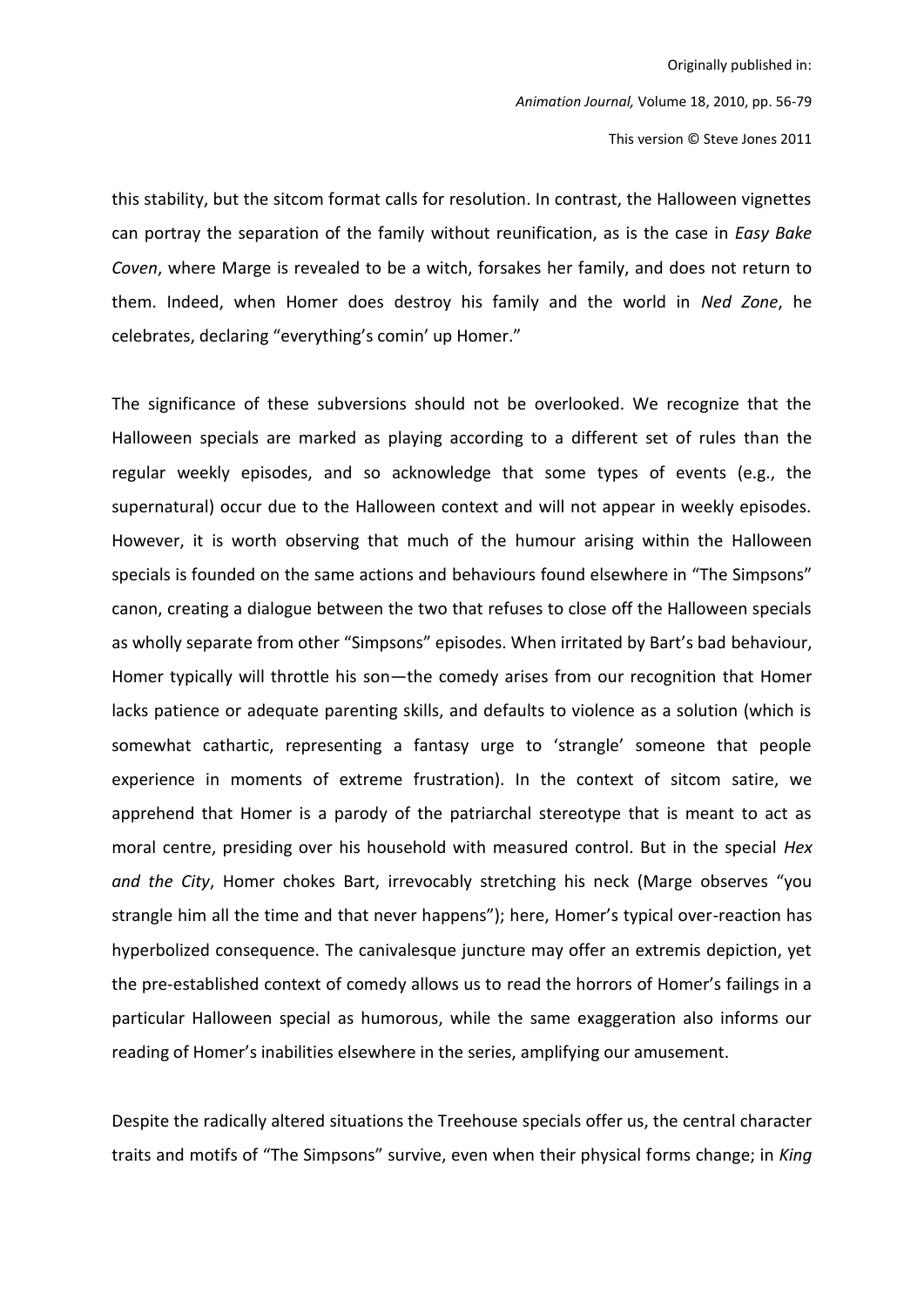this stability, but the sitcom format calls for resolution. In contrast, the Halloween vignettes can portray the separation of the family without reunification, as is the case in Easy Bake Coven, where Marge is revealed to be a witch, forsakes her family, and does not return to them. Indeed, when Homer does destroy his family and the world in Ned Zone, he celebrates, declaring "everything's comin' up Homer."

The significance of these subversions should not be overlooked. We recognize that the Halloween specials are marked as playing according to a different set of rules than the regular weekly episodes, and so acknowledge that some types of events (e.g., the supernatural) occur due to the Halloween context and will not appear in weekly episodes. However, it is worth observing that much of the humour arising within the Halloween specials is founded on the same actions and behaviours found elsewhere in "The Simpsons" canon, creating a dialogue between the two that refuses to close off the Halloween specials as wholly separate from other "Simpsons" episodes. When irritated by Bart's bad behaviour, Homer typically will throttle his son-the comedy arises from our recognition that Homer lacks patience or adequate parenting skills, and defaults to violence as a solution (which is somewhat cathartic, representing a fantasy urge to 'strangle' someone that people experience in moments of extreme frustration). In the context of sitcom satire, we apprehend that Homer is a parody of the patriarchal stereotype that is meant to act as moral centre, presiding over his household with measured control. But in the special Hex and the City, Homer chokes Bart, irrevocably stretching his neck (Marge observes "you strangle him all the time and that never happens"); here, Homer's typical over-reaction has hyperbolized consequence. The canivalesque juncture may offer an extremis depiction, yet the pre-established context of comedy allows us to read the horrors of Homer's failings in a particular Halloween special as humorous, while the same exaggeration also informs our reading of Homer's inabilities elsewhere in the series, amplifying our amusement.

Despite the radically altered situations the Treehouse specials offer us, the central character traits and motifs of "The Simpsons" survive, even when their physical forms change; in King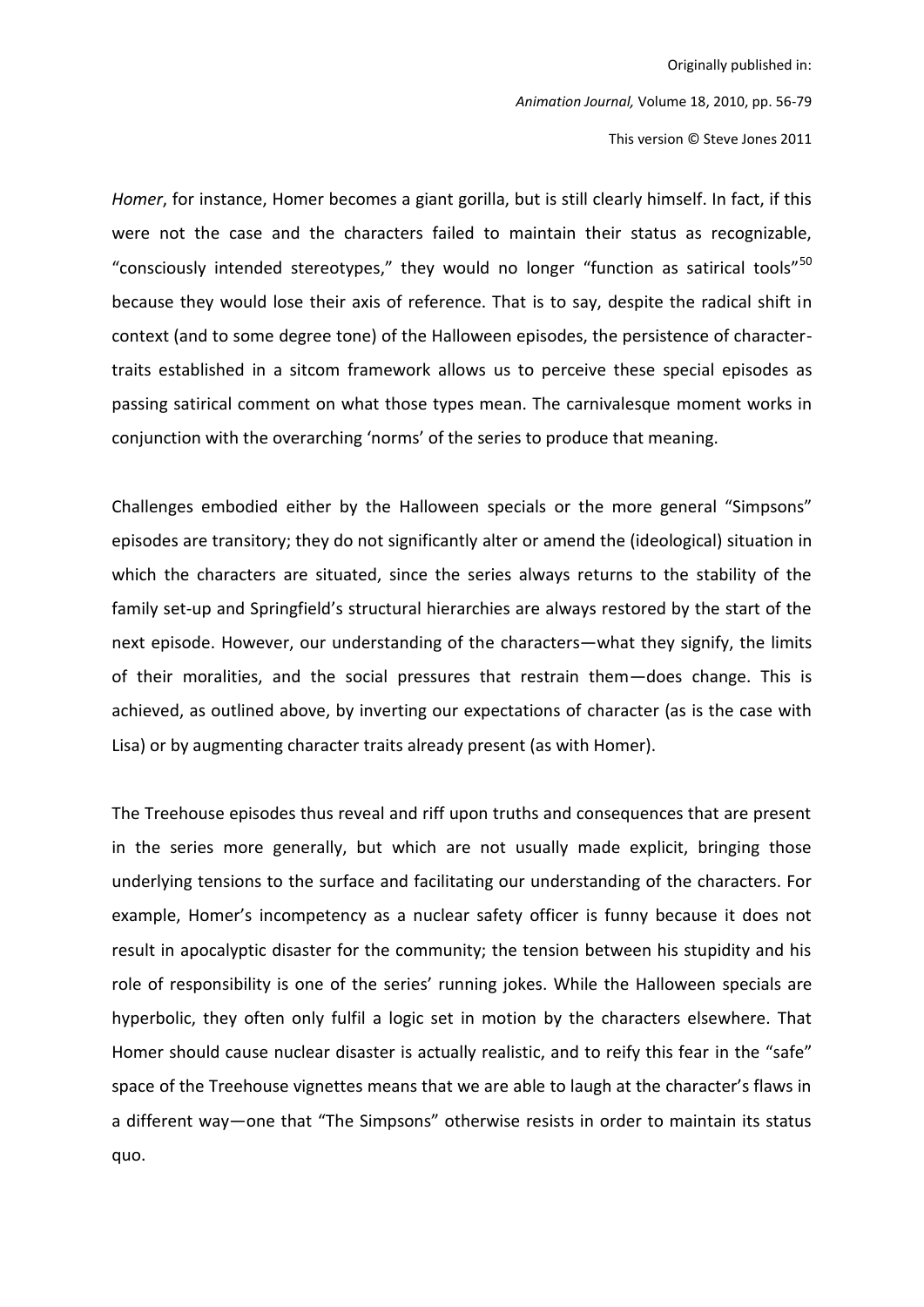This version © Steve Jones 2011

Homer, for instance, Homer becomes a giant gorilla, but is still clearly himself. In fact, if this were not the case and the characters failed to maintain their status as recognizable, "consciously intended stereotypes," they would no longer "function as satirical tools"<sup>50</sup> because they would lose their axis of reference. That is to say, despite the radical shift in context (and to some degree tone) of the Halloween episodes, the persistence of charactertraits established in a sitcom framework allows us to perceive these special episodes as passing satirical comment on what those types mean. The carnivalesque moment works in conjunction with the overarching 'norms' of the series to produce that meaning.

Challenges embodied either by the Halloween specials or the more general "Simpsons" episodes are transitory; they do not significantly alter or amend the (ideological) situation in which the characters are situated, since the series always returns to the stability of the family set-up and Springfield's structural hierarchies are always restored by the start of the next episode. However, our understanding of the characters—what they signify, the limits of their moralities, and the social pressures that restrain them-does change. This is achieved, as outlined above, by inverting our expectations of character (as is the case with Lisa) or by augmenting character traits already present (as with Homer).

The Treehouse episodes thus reveal and riff upon truths and consequences that are present in the series more generally, but which are not usually made explicit, bringing those underlying tensions to the surface and facilitating our understanding of the characters. For example, Homer's incompetency as a nuclear safety officer is funny because it does not result in apocalyptic disaster for the community; the tension between his stupidity and his role of responsibility is one of the series' running jokes. While the Halloween specials are hyperbolic, they often only fulfil a logic set in motion by the characters elsewhere. That Homer should cause nuclear disaster is actually realistic, and to reify this fear in the "safe" space of the Treehouse vignettes means that we are able to laugh at the character's flaws in a different way—one that "The Simpsons" otherwise resists in order to maintain its status quo.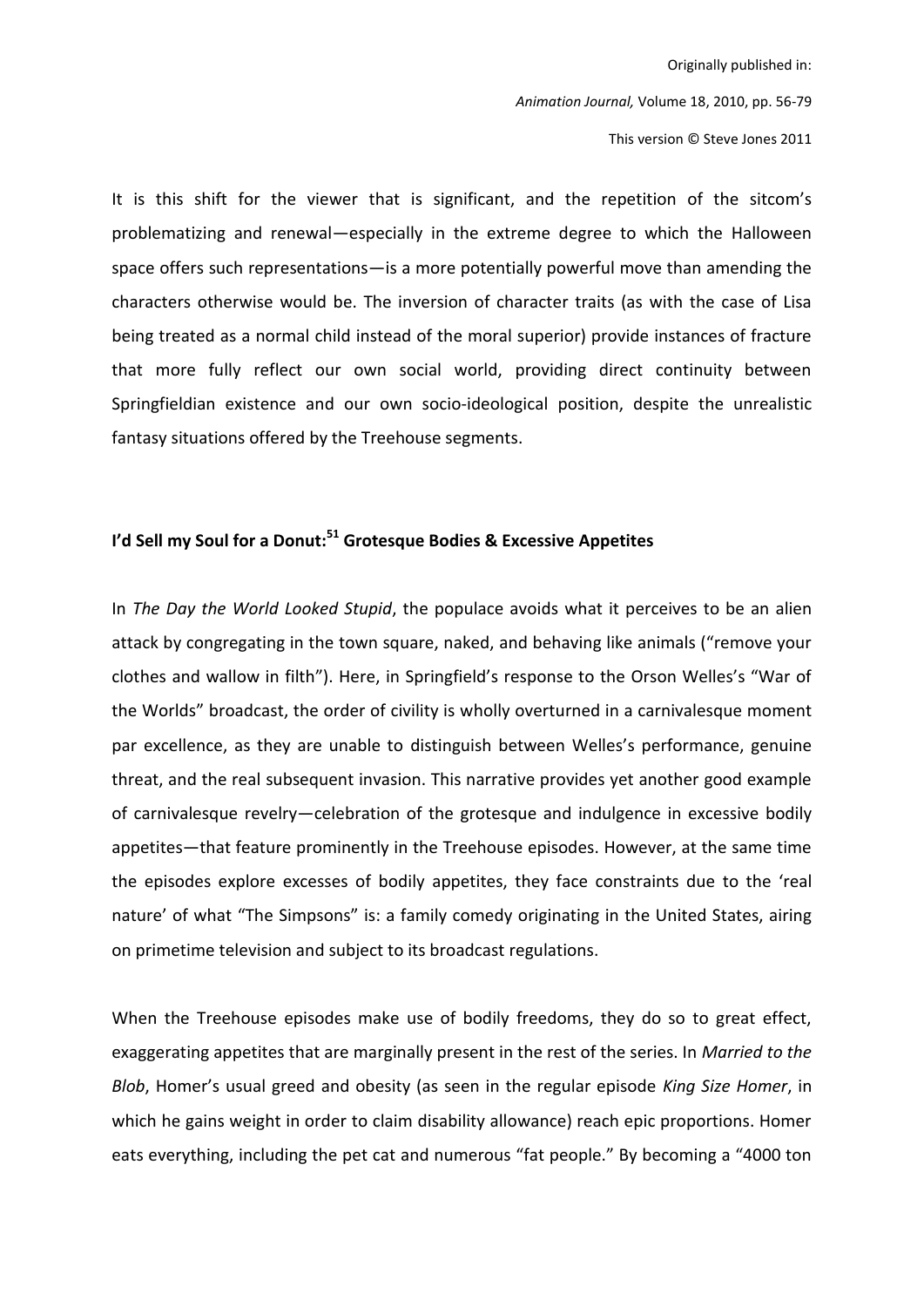This version © Steve Jones 2011

It is this shift for the viewer that is significant, and the repetition of the sitcom's problematizing and renewal-especially in the extreme degree to which the Halloween space offers such representations- is a more potentially powerful move than amending the characters otherwise would be. The inversion of character traits (as with the case of Lisa being treated as a normal child instead of the moral superior) provide instances of fracture that more fully reflect our own social world, providing direct continuity between Springfieldian existence and our own socio-ideological position, despite the unrealistic fantasy situations offered by the Treehouse segments.

## I'd Sell my Soul for a Donut:<sup>51</sup> Grotesque Bodies & Excessive Appetites

In The Day the World Looked Stupid, the populace avoids what it perceives to be an alien attack by congregating in the town square, naked, and behaving like animals ("remove your clothes and wallow in filth"). Here, in Springfield's response to the Orson Welles's "War of the Worlds" broadcast, the order of civility is wholly overturned in a carnivalesque moment par excellence, as they are unable to distinguish between Welles's performance, genuine threat, and the real subsequent invasion. This narrative provides yet another good example of carnivalesque revelry—celebration of the grotesque and indulgence in excessive bodily appetites—that feature prominently in the Treehouse episodes. However, at the same time the episodes explore excesses of bodily appetites, they face constraints due to the 'real nature' of what "The Simpsons" is: a family comedy originating in the United States, airing on primetime television and subject to its broadcast regulations.

When the Treehouse episodes make use of bodily freedoms, they do so to great effect, exaggerating appetites that are marginally present in the rest of the series. In Married to the Blob, Homer's usual greed and obesity (as seen in the regular episode King Size Homer, in which he gains weight in order to claim disability allowance) reach epic proportions. Homer eats everything, including the pet cat and numerous "fat people." By becoming a "4000 ton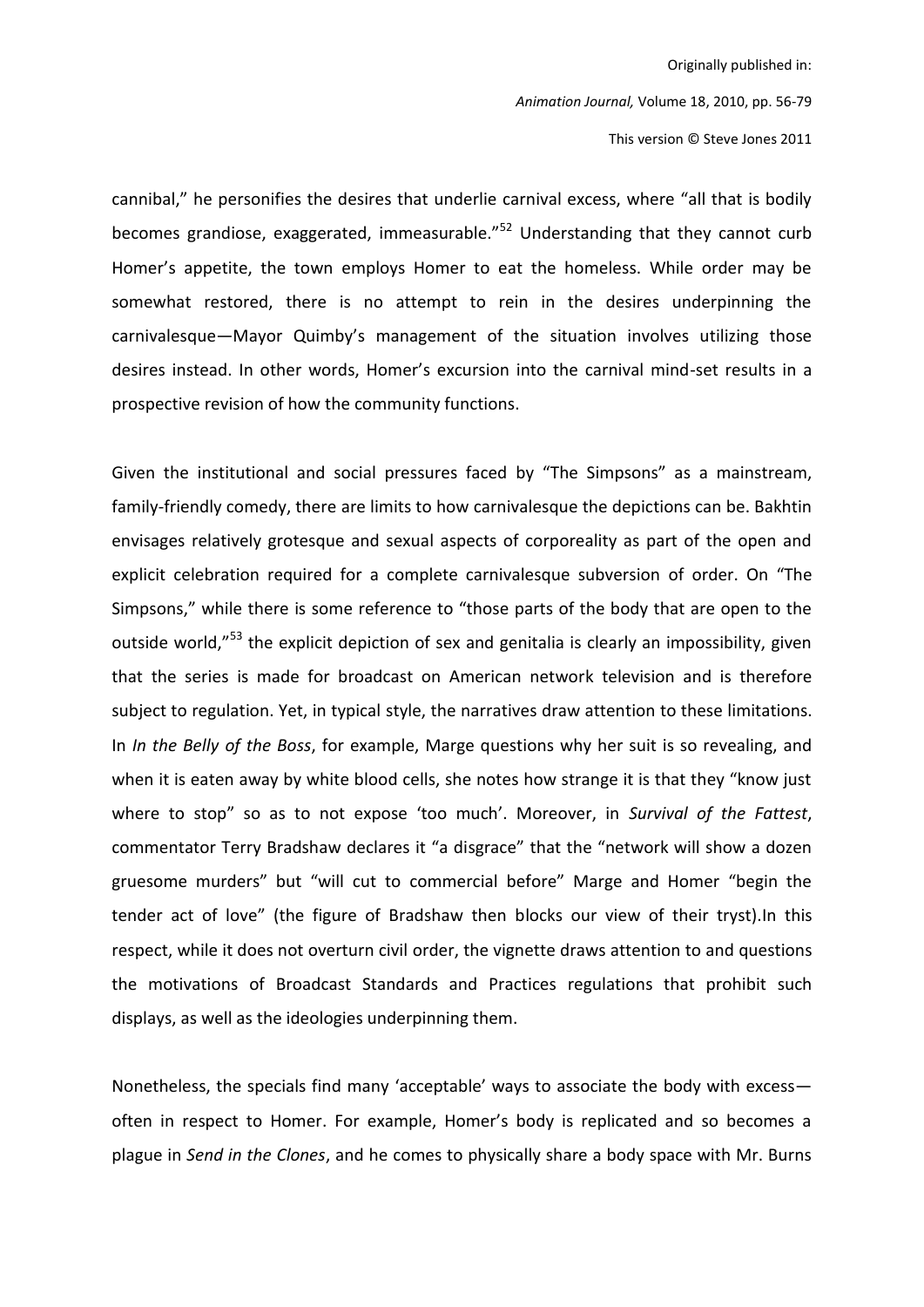This version © Steve Jones 2011

cannibal," he personifies the desires that underlie carnival excess, where "all that is bodily becomes grandiose, exaggerated, immeasurable."<sup>52</sup> Understanding that they cannot curb Homer's appetite, the town employs Homer to eat the homeless. While order may be somewhat restored, there is no attempt to rein in the desires underpinning the carnivalesque-Mayor Quimby's management of the situation involves utilizing those desires instead. In other words, Homer's excursion into the carnival mind-set results in a prospective revision of how the community functions.

Given the institutional and social pressures faced by "The Simpsons" as a mainstream, family-friendly comedy, there are limits to how carnivalesque the depictions can be. Bakhtin envisages relatively grotesque and sexual aspects of corporeality as part of the open and explicit celebration required for a complete carnivalesque subversion of order. On "The Simpsons," while there is some reference to "those parts of the body that are open to the outside world,"<sup>53</sup> the explicit depiction of sex and genitalia is clearly an impossibility, given that the series is made for broadcast on American network television and is therefore subject to regulation. Yet, in typical style, the narratives draw attention to these limitations. In In the Belly of the Boss, for example, Marge questions why her suit is so revealing, and when it is eaten away by white blood cells, she notes how strange it is that they "know just where to stop" so as to not expose 'too much'. Moreover, in Survival of the Fattest, commentator Terry Bradshaw declares it "a disgrace" that the "network will show a dozen gruesome murders" but "will cut to commercial before" Marge and Homer "begin the tender act of love" (the figure of Bradshaw then blocks our view of their tryst). In this respect, while it does not overturn civil order, the vignette draws attention to and questions the motivations of Broadcast Standards and Practices regulations that prohibit such displays, as well as the ideologies underpinning them.

Nonetheless, the specials find many 'acceptable' ways to associate the body with excessoften in respect to Homer. For example, Homer's body is replicated and so becomes a plague in Send in the Clones, and he comes to physically share a body space with Mr. Burns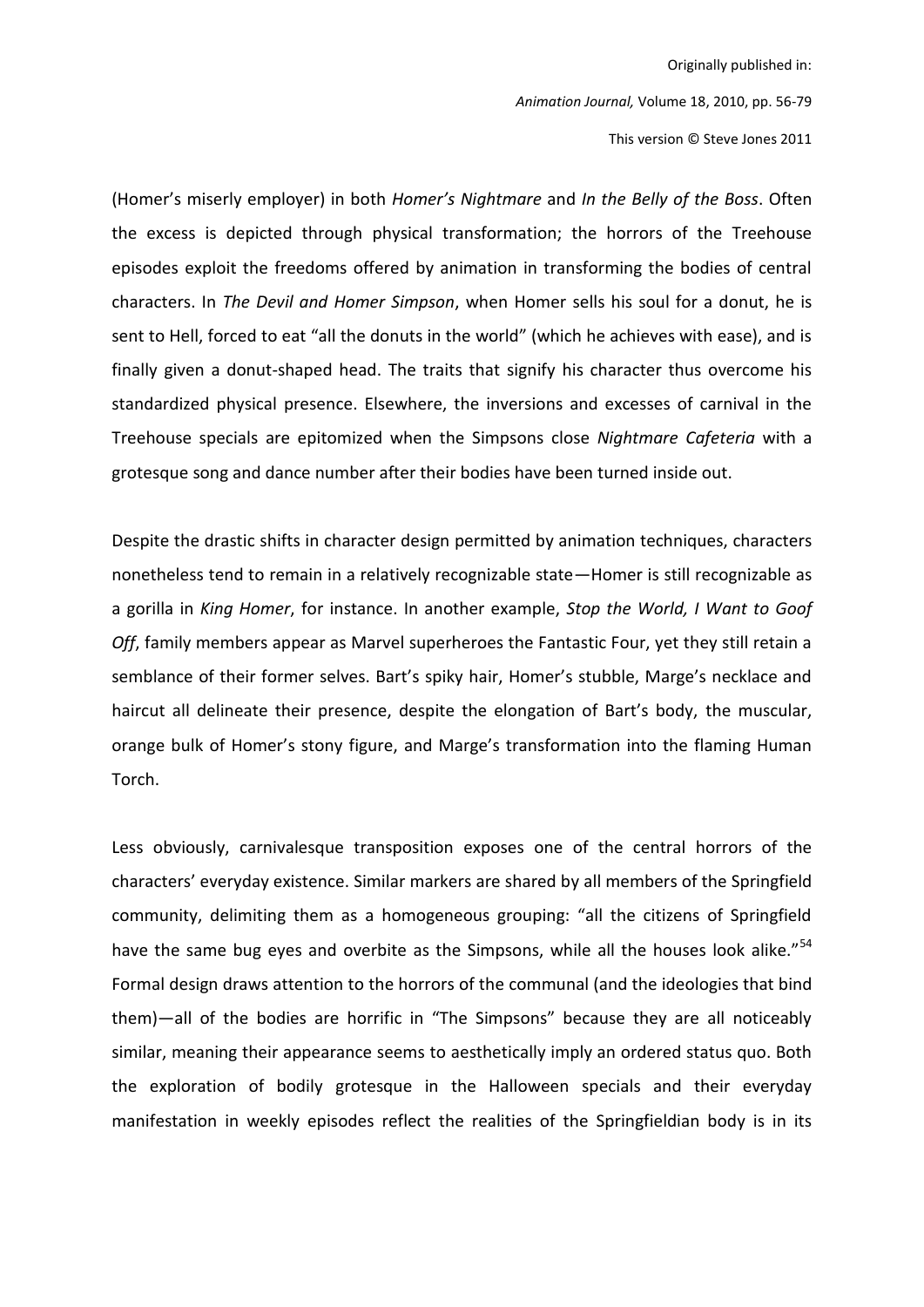Animation Journal, Volume 18, 2010, pp. 56-79

This version © Steve Jones 2011

(Homer's miserly employer) in both *Homer's Nightmare* and *In the Belly of the Boss*. Often the excess is depicted through physical transformation; the horrors of the Treehouse episodes exploit the freedoms offered by animation in transforming the bodies of central characters. In The Devil and Homer Simpson, when Homer sells his soul for a donut, he is sent to Hell, forced to eat "all the donuts in the world" (which he achieves with ease), and is finally given a donut-shaped head. The traits that signify his character thus overcome his standardized physical presence. Elsewhere, the inversions and excesses of carnival in the Treehouse specials are epitomized when the Simpsons close Nightmare Cafeteria with a grotesque song and dance number after their bodies have been turned inside out.

Despite the drastic shifts in character design permitted by animation techniques, characters nonetheless tend to remain in a relatively recognizable state—Homer is still recognizable as a gorilla in King Homer, for instance. In another example, Stop the World, I Want to Goof Off, family members appear as Marvel superheroes the Fantastic Four, yet they still retain a semblance of their former selves. Bart's spiky hair, Homer's stubble, Marge's necklace and haircut all delineate their presence, despite the elongation of Bart's body, the muscular, orange bulk of Homer's stony figure, and Marge's transformation into the flaming Human Torch.

Less obviously, carnivalesque transposition exposes one of the central horrors of the characters' everyday existence. Similar markers are shared by all members of the Springfield community, delimiting them as a homogeneous grouping: "all the citizens of Springfield have the same bug eyes and overbite as the Simpsons, while all the houses look alike."<sup>54</sup> Formal design draws attention to the horrors of the communal (and the ideologies that bind them)-all of the bodies are horrific in "The Simpsons" because they are all noticeably similar, meaning their appearance seems to aesthetically imply an ordered status quo. Both the exploration of bodily grotesque in the Halloween specials and their everyday manifestation in weekly episodes reflect the realities of the Springfieldian body is in its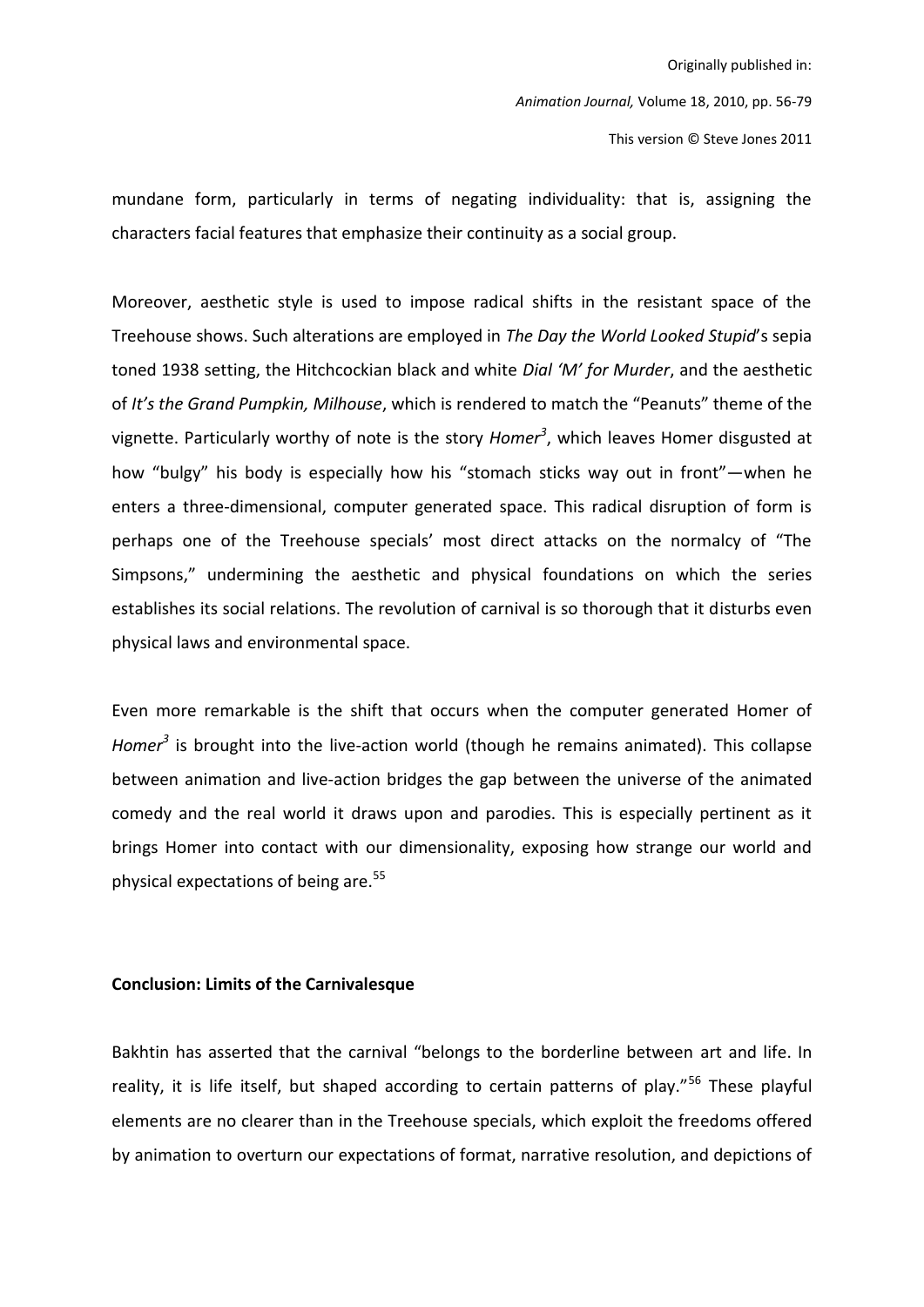mundane form, particularly in terms of negating individuality: that is, assigning the characters facial features that emphasize their continuity as a social group.

Moreover, aesthetic style is used to impose radical shifts in the resistant space of the Treehouse shows. Such alterations are employed in The Day the World Looked Stupid's sepia toned 1938 setting, the Hitchcockian black and white *Dial 'M' for Murder*, and the aesthetic of It's the Grand Pumpkin, Milhouse, which is rendered to match the "Peanuts" theme of the vignette. Particularly worthy of note is the story Homer<sup>3</sup>, which leaves Homer disgusted at how "bulgy" his body is especially how his "stomach sticks way out in front"-when he enters a three-dimensional, computer generated space. This radical disruption of form is perhaps one of the Treehouse specials' most direct attacks on the normalcy of "The Simpsons," undermining the aesthetic and physical foundations on which the series establishes its social relations. The revolution of carnival is so thorough that it disturbs even physical laws and environmental space.

Even more remarkable is the shift that occurs when the computer generated Homer of Homer $^3$  is brought into the live-action world (though he remains animated). This collapse between animation and live-action bridges the gap between the universe of the animated comedy and the real world it draws upon and parodies. This is especially pertinent as it brings Homer into contact with our dimensionality, exposing how strange our world and physical expectations of being are.<sup>55</sup>

#### **Conclusion: Limits of the Carnivalesque**

Bakhtin has asserted that the carnival "belongs to the borderline between art and life. In reality, it is life itself, but shaped according to certain patterns of play."<sup>56</sup> These playful elements are no clearer than in the Treehouse specials, which exploit the freedoms offered by animation to overturn our expectations of format, narrative resolution, and depictions of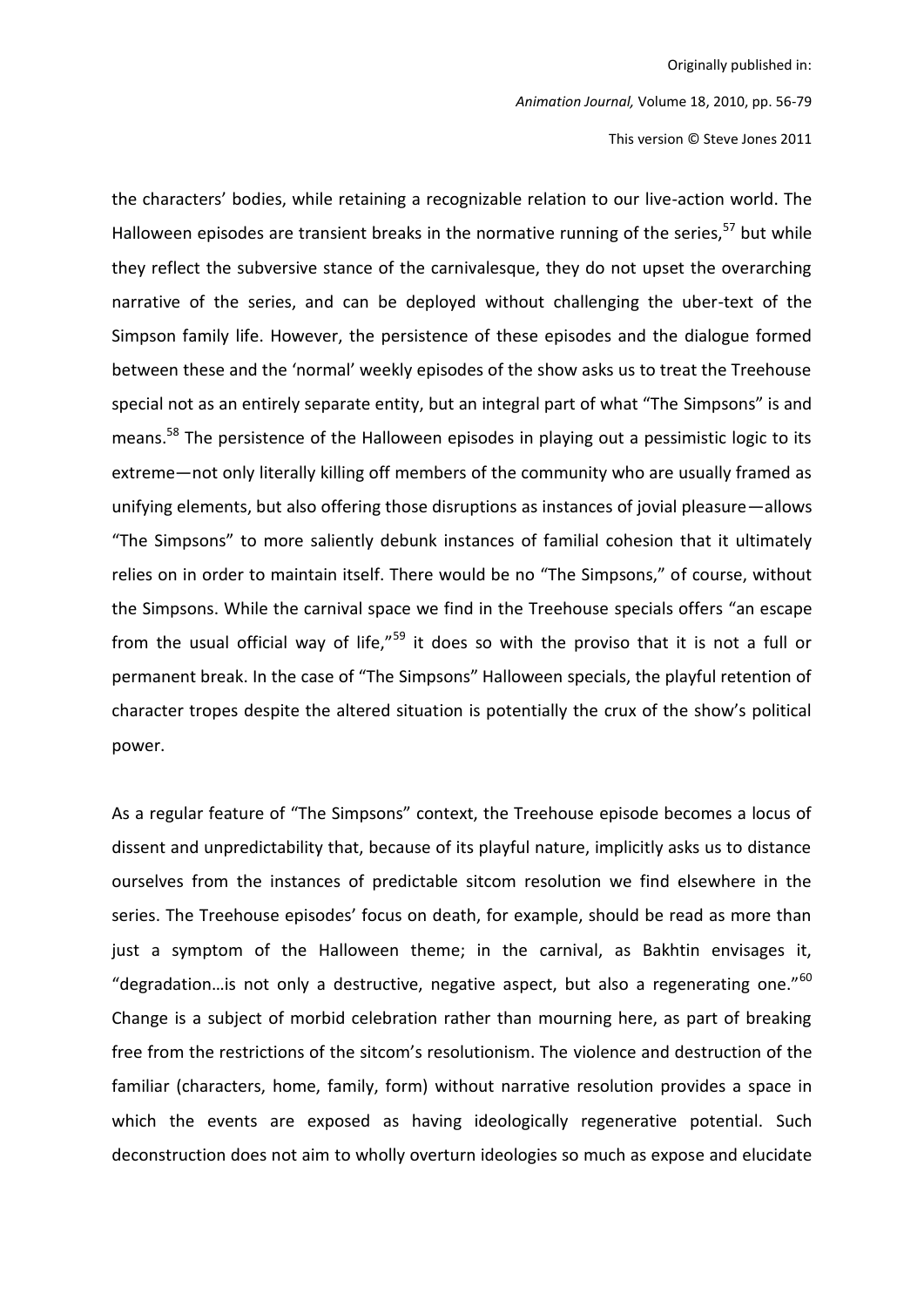Animation Journal, Volume 18, 2010, pp. 56-79

This version © Steve Jones 2011

the characters' bodies, while retaining a recognizable relation to our live-action world. The Halloween episodes are transient breaks in the normative running of the series,<sup>57</sup> but while they reflect the subversive stance of the carnivalesque, they do not upset the overarching narrative of the series, and can be deployed without challenging the uber-text of the Simpson family life. However, the persistence of these episodes and the dialogue formed between these and the 'normal' weekly episodes of the show asks us to treat the Treehouse special not as an entirely separate entity, but an integral part of what "The Simpsons" is and means.<sup>58</sup> The persistence of the Halloween episodes in playing out a pessimistic logic to its extreme-not only literally killing off members of the community who are usually framed as unifying elements, but also offering those disruptions as instances of jovial pleasure-allows "The Simpsons" to more saliently debunk instances of familial cohesion that it ultimately relies on in order to maintain itself. There would be no "The Simpsons," of course, without the Simpsons. While the carnival space we find in the Treehouse specials offers "an escape from the usual official way of life,"<sup>59</sup> it does so with the proviso that it is not a full or permanent break. In the case of "The Simpsons" Halloween specials, the playful retention of character tropes despite the altered situation is potentially the crux of the show's political power.

As a regular feature of "The Simpsons" context, the Treehouse episode becomes a locus of dissent and unpredictability that, because of its playful nature, implicitly asks us to distance ourselves from the instances of predictable sitcom resolution we find elsewhere in the series. The Treehouse episodes' focus on death, for example, should be read as more than just a symptom of the Halloween theme; in the carnival, as Bakhtin envisages it, "degradation...is not only a destructive, negative aspect, but also a regenerating one."<sup>60</sup> Change is a subject of morbid celebration rather than mourning here, as part of breaking free from the restrictions of the sitcom's resolutionism. The violence and destruction of the familiar (characters, home, family, form) without narrative resolution provides a space in which the events are exposed as having ideologically regenerative potential. Such deconstruction does not aim to wholly overturn ideologies so much as expose and elucidate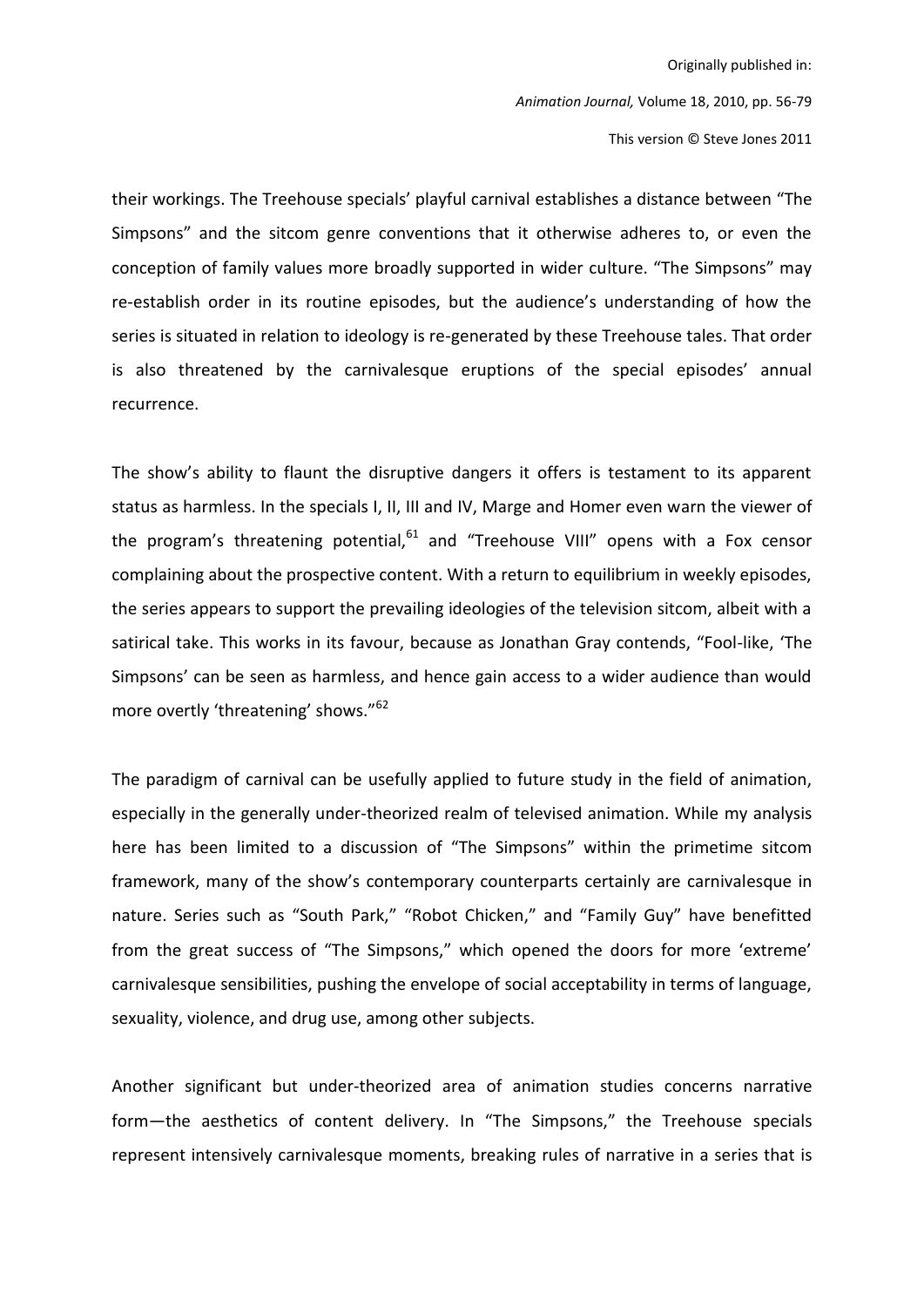Animation Journal, Volume 18, 2010, pp. 56-79

This version © Steve Jones 2011

their workings. The Treehouse specials' playful carnival establishes a distance between "The Simpsons" and the sitcom genre conventions that it otherwise adheres to, or even the conception of family values more broadly supported in wider culture. "The Simpsons" may re-establish order in its routine episodes, but the audience's understanding of how the series is situated in relation to ideology is re-generated by these Treehouse tales. That order is also threatened by the carnivalesque eruptions of the special episodes' annual recurrence.

The show's ability to flaunt the disruptive dangers it offers is testament to its apparent status as harmless. In the specials I, II, III and IV, Marge and Homer even warn the viewer of the program's threatening potential,<sup>61</sup> and "Treehouse VIII" opens with a Fox censor complaining about the prospective content. With a return to equilibrium in weekly episodes, the series appears to support the prevailing ideologies of the television sitcom, albeit with a satirical take. This works in its favour, because as Jonathan Gray contends, "Fool-like, 'The Simpsons' can be seen as harmless, and hence gain access to a wider audience than would more overtly 'threatening' shows."<sup>62</sup>

The paradigm of carnival can be usefully applied to future study in the field of animation, especially in the generally under-theorized realm of televised animation. While my analysis here has been limited to a discussion of "The Simpsons" within the primetime sitcom framework, many of the show's contemporary counterparts certainly are carnivalesque in nature. Series such as "South Park," "Robot Chicken," and "Family Guy" have benefitted from the great success of "The Simpsons," which opened the doors for more 'extreme' carnivalesque sensibilities, pushing the envelope of social acceptability in terms of language, sexuality, violence, and drug use, among other subjects.

Another significant but under-theorized area of animation studies concerns narrative form-the aesthetics of content delivery. In "The Simpsons," the Treehouse specials represent intensively carnivalesque moments, breaking rules of narrative in a series that is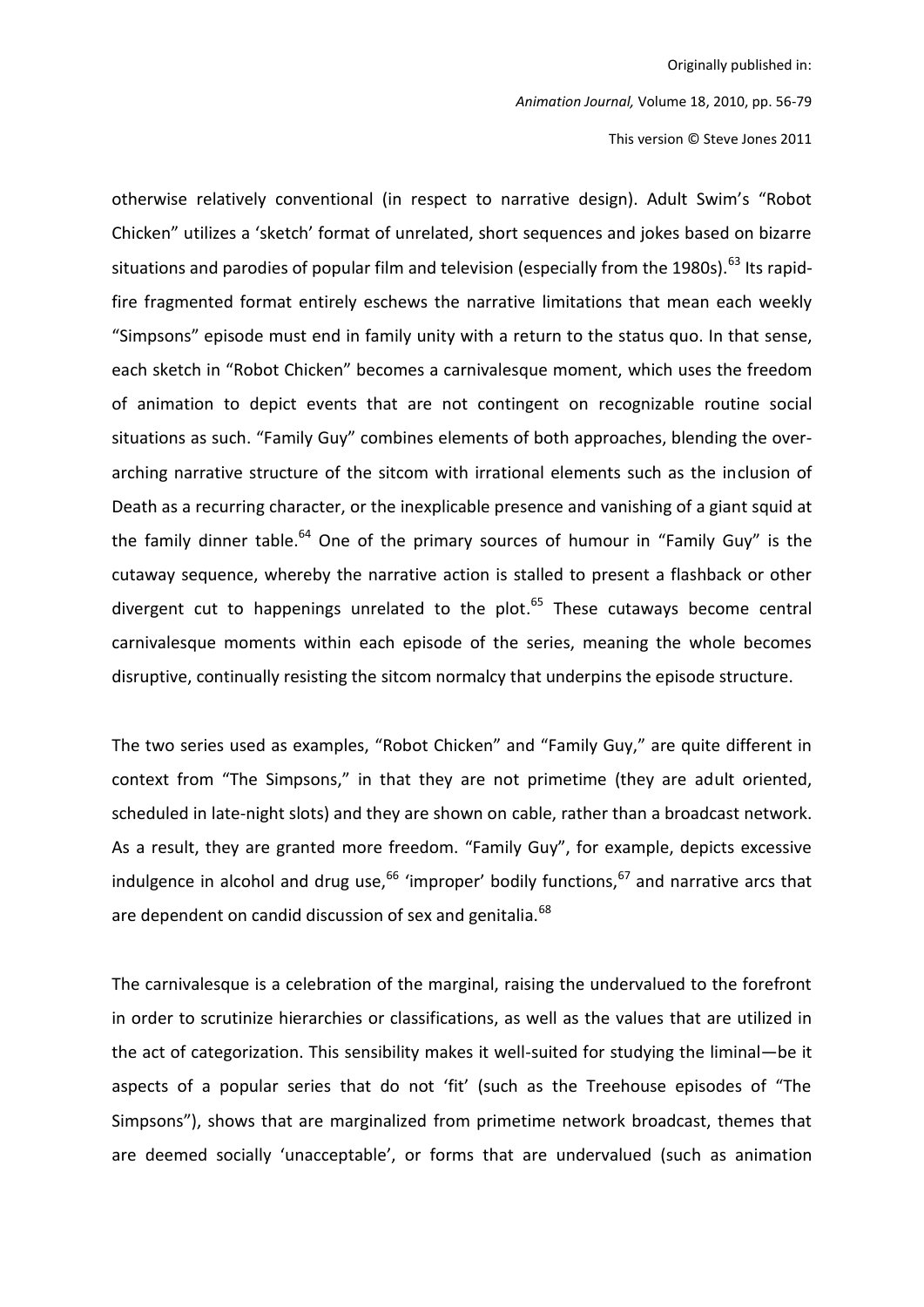Animation Journal, Volume 18, 2010, pp. 56-79

This version © Steve Jones 2011

otherwise relatively conventional (in respect to narrative design). Adult Swim's "Robot Chicken" utilizes a 'sketch' format of unrelated, short sequences and jokes based on bizarre situations and parodies of popular film and television (especially from the 1980s).<sup>63</sup> Its rapidfire fragmented format entirely eschews the narrative limitations that mean each weekly "Simpsons" episode must end in family unity with a return to the status quo. In that sense, each sketch in "Robot Chicken" becomes a carnivalesque moment, which uses the freedom of animation to depict events that are not contingent on recognizable routine social situations as such. "Family Guy" combines elements of both approaches, blending the overarching narrative structure of the sitcom with irrational elements such as the inclusion of Death as a recurring character, or the inexplicable presence and vanishing of a giant squid at the family dinner table.<sup>64</sup> One of the primary sources of humour in "Family Guy" is the cutaway sequence, whereby the narrative action is stalled to present a flashback or other divergent cut to happenings unrelated to the plot.<sup>65</sup> These cutaways become central carnivalesque moments within each episode of the series, meaning the whole becomes disruptive, continually resisting the sitcom normalcy that underpins the episode structure.

The two series used as examples, "Robot Chicken" and "Family Guy," are quite different in context from "The Simpsons," in that they are not primetime (they are adult oriented, scheduled in late-night slots) and they are shown on cable, rather than a broadcast network. As a result, they are granted more freedom. "Family Guy", for example, depicts excessive indulgence in alcohol and drug use,  $66$  'improper' bodily functions,  $67$  and narrative arcs that are dependent on candid discussion of sex and genitalia.<sup>68</sup>

The carnivalesque is a celebration of the marginal, raising the undervalued to the forefront in order to scrutinize hierarchies or classifications, as well as the values that are utilized in the act of categorization. This sensibility makes it well-suited for studying the liminal-be it aspects of a popular series that do not 'fit' (such as the Treehouse episodes of "The Simpsons"), shows that are marginalized from primetime network broadcast, themes that are deemed socially 'unacceptable', or forms that are undervalued (such as animation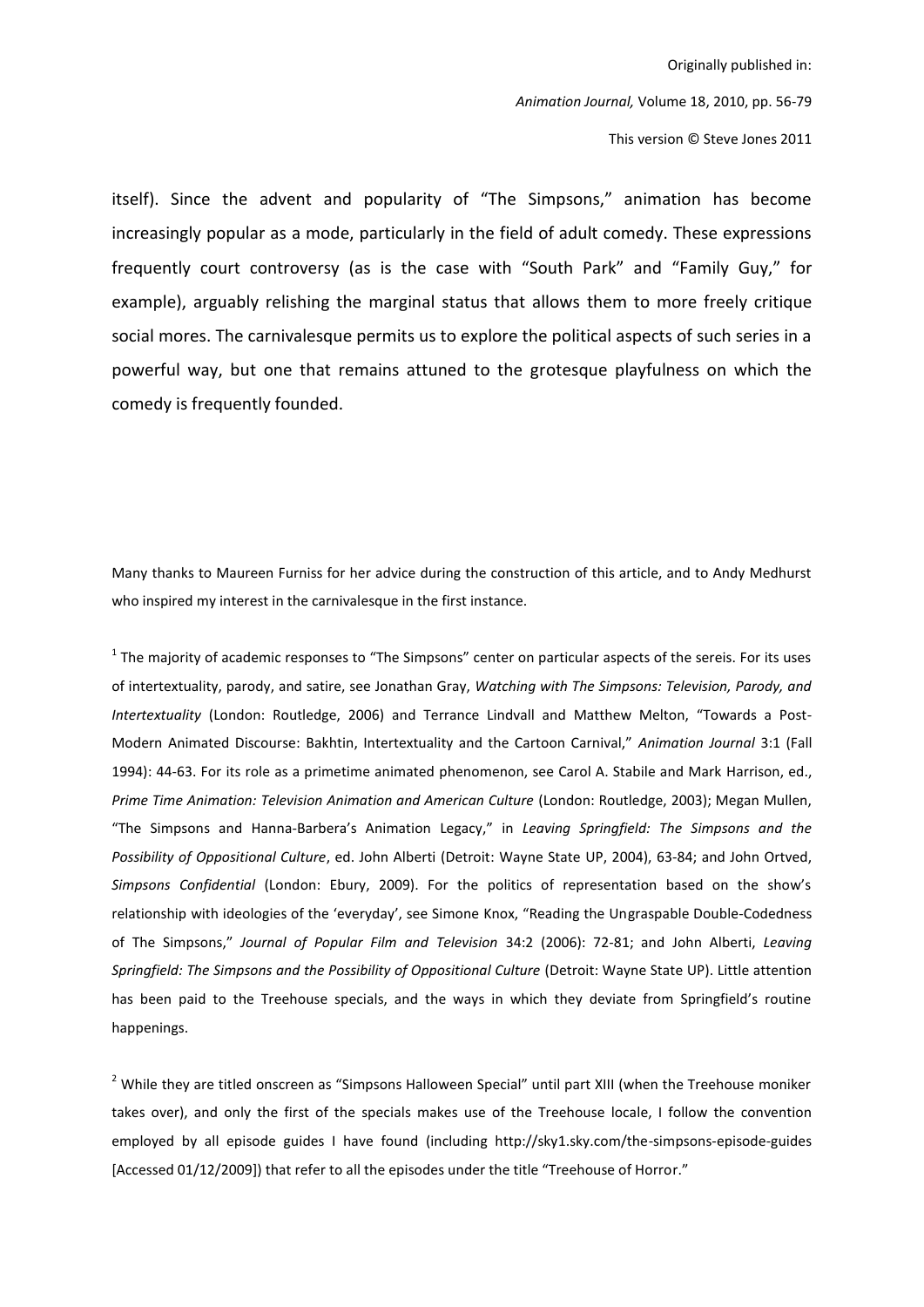Animation Journal, Volume 18, 2010, pp. 56-79

This version © Steve Jones 2011

itself). Since the advent and popularity of "The Simpsons," animation has become increasingly popular as a mode, particularly in the field of adult comedy. These expressions frequently court controversy (as is the case with "South Park" and "Family Guy," for example), arguably relishing the marginal status that allows them to more freely critique social mores. The carnivalesque permits us to explore the political aspects of such series in a powerful way, but one that remains attuned to the grotesque playfulness on which the comedy is frequently founded.

Many thanks to Maureen Furniss for her advice during the construction of this article, and to Andy Medhurst who inspired my interest in the carnivalesque in the first instance.

<sup>1</sup> The majority of academic responses to "The Simpsons" center on particular aspects of the sereis. For its uses of intertextuality, parody, and satire, see Jonathan Gray, Watching with The Simpsons: Television, Parody, and Intertextuality (London: Routledge, 2006) and Terrance Lindvall and Matthew Melton, "Towards a Post-Modern Animated Discourse: Bakhtin, Intertextuality and the Cartoon Carnival," Animation Journal 3:1 (Fall 1994): 44-63. For its role as a primetime animated phenomenon, see Carol A. Stabile and Mark Harrison, ed., Prime Time Animation: Television Animation and American Culture (London: Routledge, 2003); Megan Mullen, "The Simpsons and Hanna-Barbera's Animation Legacy," in Leaving Springfield: The Simpsons and the Possibility of Oppositional Culture, ed. John Alberti (Detroit: Wayne State UP, 2004), 63-84; and John Ortved, Simpsons Confidential (London: Ebury, 2009). For the politics of representation based on the show's relationship with ideologies of the 'everyday', see Simone Knox, "Reading the Ungraspable Double-Codedness of The Simpsons," Journal of Popular Film and Television 34:2 (2006): 72-81; and John Alberti, Leaving Springfield: The Simpsons and the Possibility of Oppositional Culture (Detroit: Wayne State UP). Little attention has been paid to the Treehouse specials, and the ways in which they deviate from Springfield's routine happenings.

<sup>2</sup> While they are titled onscreen as "Simpsons Halloween Special" until part XIII (when the Treehouse moniker takes over), and only the first of the specials makes use of the Treehouse locale, I follow the convention employed by all episode guides I have found (including http://sky1.sky.com/the-simpsons-episode-guides [Accessed 01/12/2009]) that refer to all the episodes under the title "Treehouse of Horror."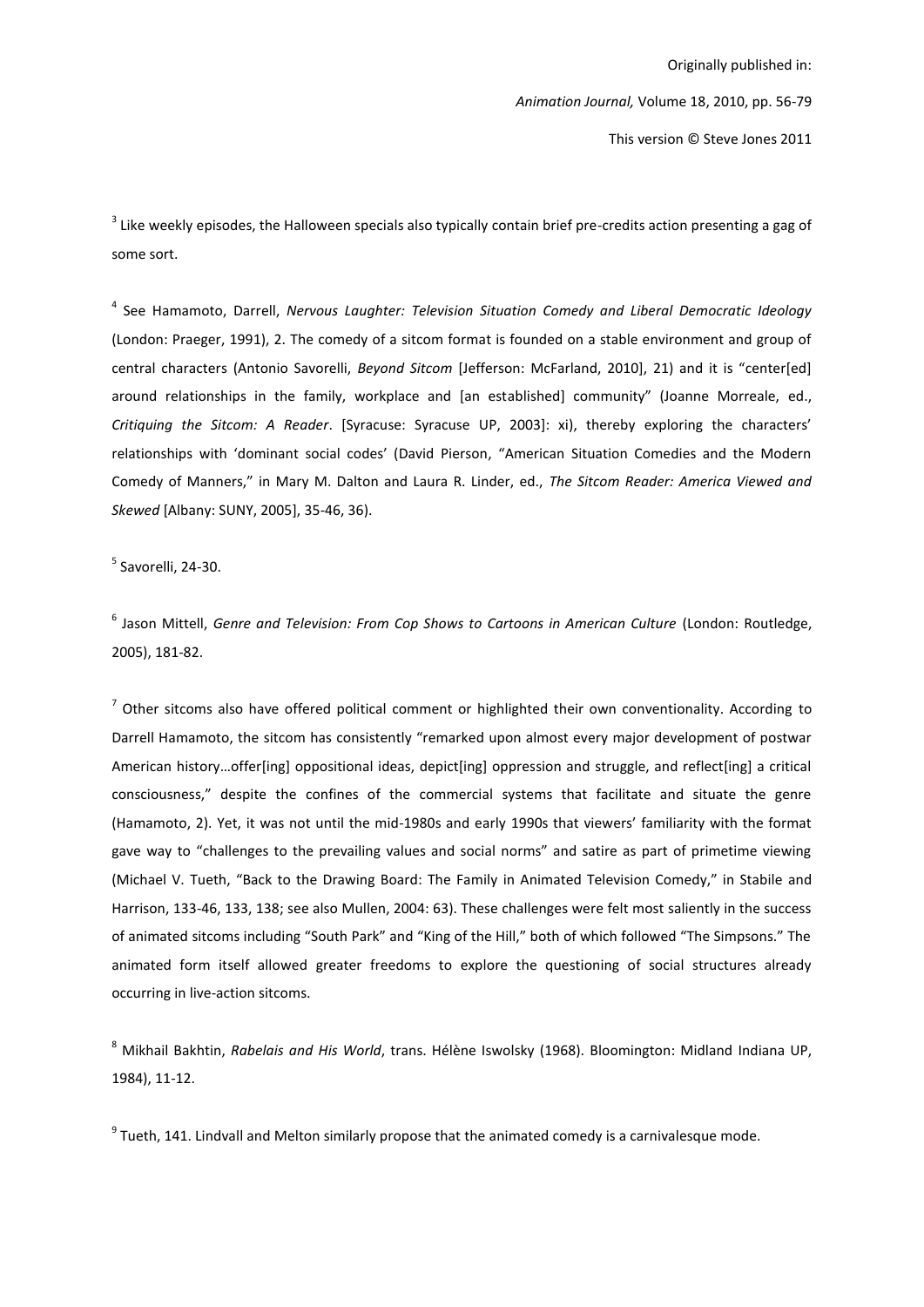This version © Steve Jones 2011

<sup>3</sup> Like weekly episodes, the Halloween specials also typically contain brief pre-credits action presenting a gag of some sort.

<sup>4</sup> See Hamamoto, Darrell, Nervous Laughter: Television Situation Comedy and Liberal Democratic Ideology (London: Praeger, 1991), 2. The comedy of a sitcom format is founded on a stable environment and group of central characters (Antonio Savorelli, Beyond Sitcom [Jefferson: McFarland, 2010], 21) and it is "center[ed] around relationships in the family, workplace and [an established] community" (Joanne Morreale, ed., Critiquing the Sitcom: A Reader. [Syracuse: Syracuse UP, 2003]: xi), thereby exploring the characters' relationships with 'dominant social codes' (David Pierson, "American Situation Comedies and the Modern Comedy of Manners," in Mary M. Dalton and Laura R. Linder, ed., The Sitcom Reader: America Viewed and Skewed [Albany: SUNY, 2005], 35-46, 36).

 $5$  Savorelli, 24-30.

 $<sup>6</sup>$  Jason Mittell. Genre and Television: From Cop Shows to Cartoons in American Culture (London: Routledge.</sup> 2005), 181-82.

7 Other sitcoms also have offered political comment or highlighted their own conventionality. According to Darrell Hamamoto, the sitcom has consistently "remarked upon almost every major development of postwar American history...offer[ing] oppositional ideas, depict[ing] oppression and struggle, and reflect[ing] a critical consciousness," despite the confines of the commercial systems that facilitate and situate the genre (Hamamoto, 2). Yet, it was not until the mid-1980s and early 1990s that viewers' familiarity with the format gave way to "challenges to the prevailing values and social norms" and satire as part of primetime viewing (Michael V. Tueth, "Back to the Drawing Board: The Family in Animated Television Comedy," in Stabile and Harrison, 133-46, 133, 138; see also Mullen, 2004: 63). These challenges were felt most saliently in the success of animated sitcoms including "South Park" and "King of the Hill," both of which followed "The Simpsons." The animated form itself allowed greater freedoms to explore the questioning of social structures already occurring in live-action sitcoms.

<sup>8</sup> Mikhail Bakhtin, Rabelais and His World, trans. Hélène Iswolsky (1968). Bloomington: Midland Indiana UP, 1984), 11-12.

 $9$  Tueth, 141. Lindvall and Melton similarly propose that the animated comedy is a carnivalesque mode.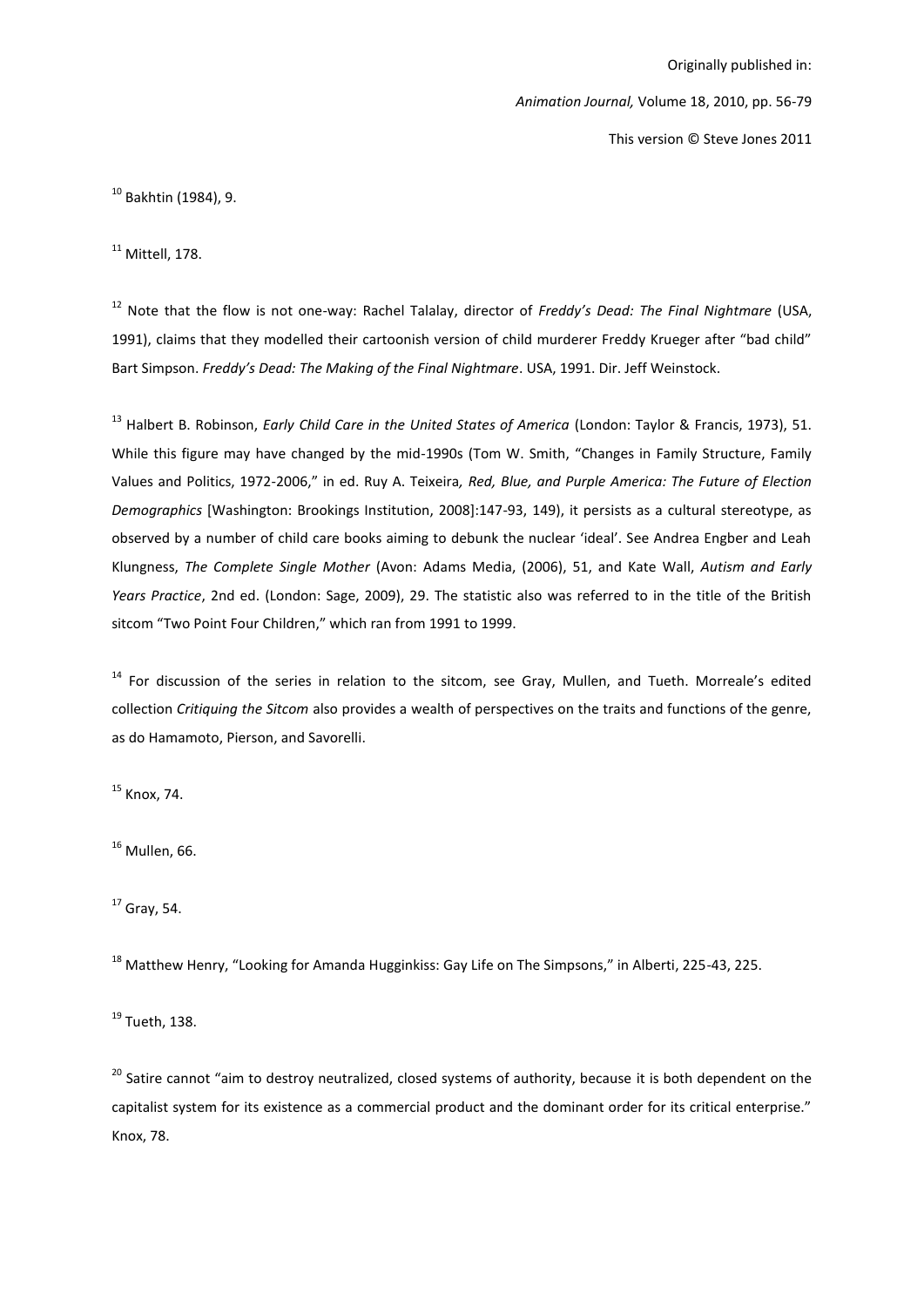Animation Journal, Volume 18, 2010, pp. 56-79

This version © Steve Jones 2011

<sup>10</sup> Bakhtin (1984), 9.

 $11$  Mittell, 178.

<sup>12</sup> Note that the flow is not one-way: Rachel Talalay, director of Freddy's Dead: The Final Nightmare (USA, 1991), claims that they modelled their cartoonish version of child murderer Freddy Krueger after "bad child" Bart Simpson, Freddy's Dead: The Makina of the Final Niahtmare, USA, 1991, Dir. Jeff Weinstock.

<sup>13</sup> Halbert B. Robinson, *Early Child Care in the United States of America* (London: Taylor & Francis, 1973), 51. While this figure may have changed by the mid-1990s (Tom W. Smith, "Changes in Family Structure, Family Values and Politics, 1972-2006," in ed. Ruy A. Teixeira, Red, Blue, and Purple America: The Future of Election Demographics [Washington: Brookings Institution, 2008]:147-93, 149), it persists as a cultural stereotype, as observed by a number of child care books aiming to debunk the nuclear 'ideal'. See Andrea Engber and Leah Klungness, The Complete Single Mother (Avon: Adams Media, (2006), 51, and Kate Wall, Autism and Early Years Practice, 2nd ed. (London: Sage, 2009), 29. The statistic also was referred to in the title of the British sitcom "Two Point Four Children." which ran from 1991 to 1999.

<sup>14</sup> For discussion of the series in relation to the sitcom, see Gray, Mullen, and Tueth. Morreale's edited collection Critiquing the Sitcom also provides a wealth of perspectives on the traits and functions of the genre, as do Hamamoto, Pierson, and Savorelli.

<sup>15</sup> Knox, 74.

 $16$  Mullen, 66.

 $17$  Gray, 54.

<sup>18</sup> Matthew Henry, "Looking for Amanda Hugginkiss: Gay Life on The Simpsons," in Alberti, 225-43, 225.

 $19$  Tueth. 138.

<sup>20</sup> Satire cannot "aim to destroy neutralized, closed systems of authority, because it is both dependent on the capitalist system for its existence as a commercial product and the dominant order for its critical enterprise." Knox, 78.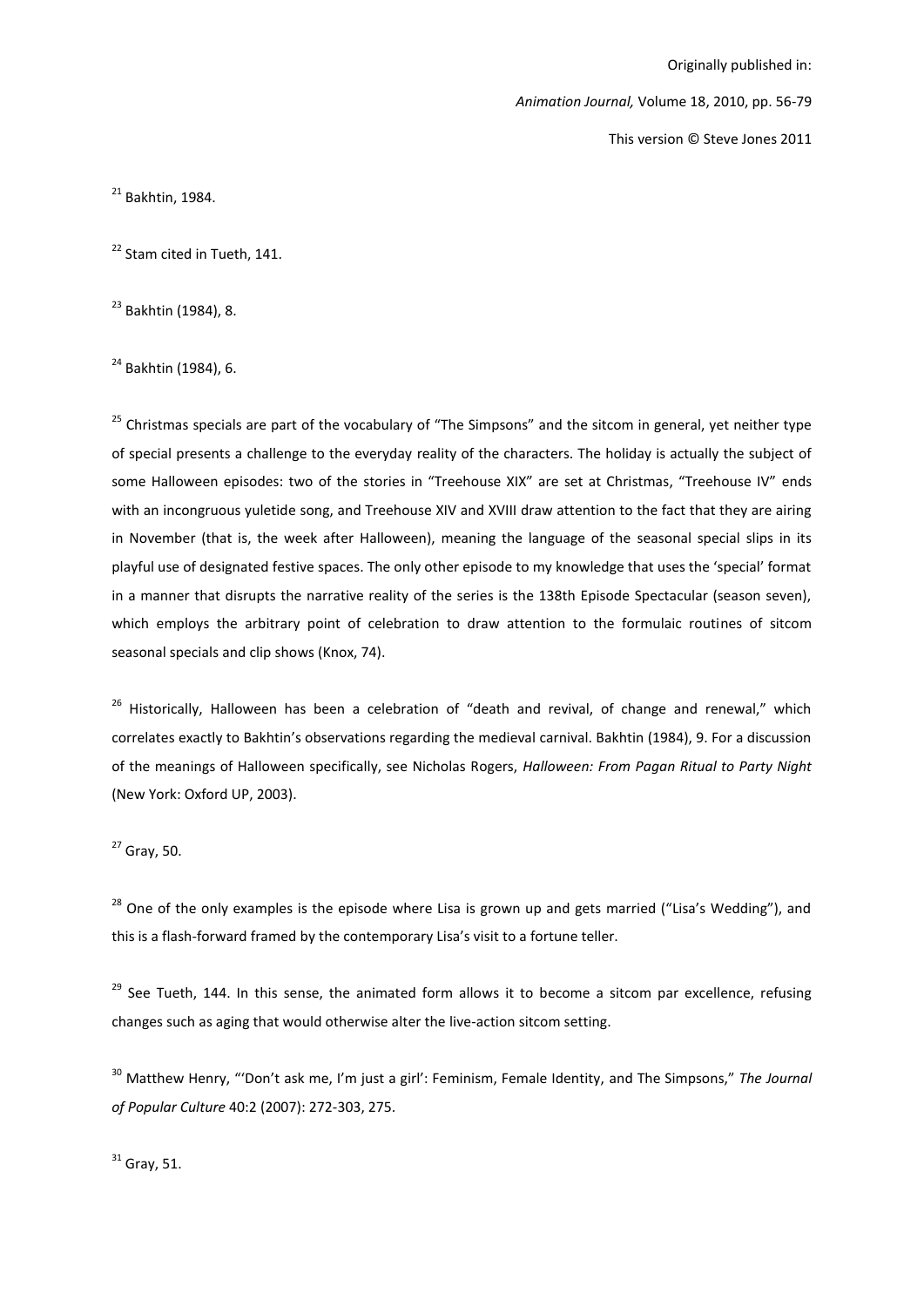Animation Journal, Volume 18, 2010, pp. 56-79

This version © Steve Jones 2011

 $21$  Bakhtin, 1984.

<sup>22</sup> Stam cited in Tueth, 141.

<sup>23</sup> Bakhtin (1984), 8.

 $^{24}$  Bakhtin (1984), 6.

<sup>25</sup> Christmas specials are part of the vocabulary of "The Simpsons" and the sitcom in general, yet neither type of special presents a challenge to the everyday reality of the characters. The holiday is actually the subject of some Halloween episodes: two of the stories in "Treehouse XIX" are set at Christmas, "Treehouse IV" ends with an incongruous yuletide song, and Treehouse XIV and XVIII draw attention to the fact that they are airing in November (that is, the week after Halloween), meaning the language of the seasonal special slips in its playful use of designated festive spaces. The only other episode to my knowledge that uses the 'special' format in a manner that disrupts the narrative reality of the series is the 138th Episode Spectacular (season seven), which employs the arbitrary point of celebration to draw attention to the formulaic routines of sitcom seasonal specials and clip shows (Knox, 74).

<sup>26</sup> Historically, Halloween has been a celebration of "death and revival, of change and renewal," which correlates exactly to Bakhtin's observations regarding the medieval carnival. Bakhtin (1984), 9. For a discussion of the meanings of Halloween specifically, see Nicholas Rogers, Halloween: From Pagan Ritual to Party Night (New York: Oxford UP, 2003).

 $27$  Gray, 50.

<sup>28</sup> One of the only examples is the episode where Lisa is grown up and gets married ("Lisa's Wedding"), and this is a flash-forward framed by the contemporary Lisa's visit to a fortune teller.

<sup>29</sup> See Tueth, 144. In this sense, the animated form allows it to become a sitcom par excellence, refusing changes such as aging that would otherwise alter the live-action sitcom setting.

<sup>30</sup> Matthew Henry, "'Don't ask me, I'm just a girl': Feminism, Female Identity, and The Simpsons," The Journal of Popular Culture 40:2 (2007): 272-303, 275.

 $31$  Gray, 51.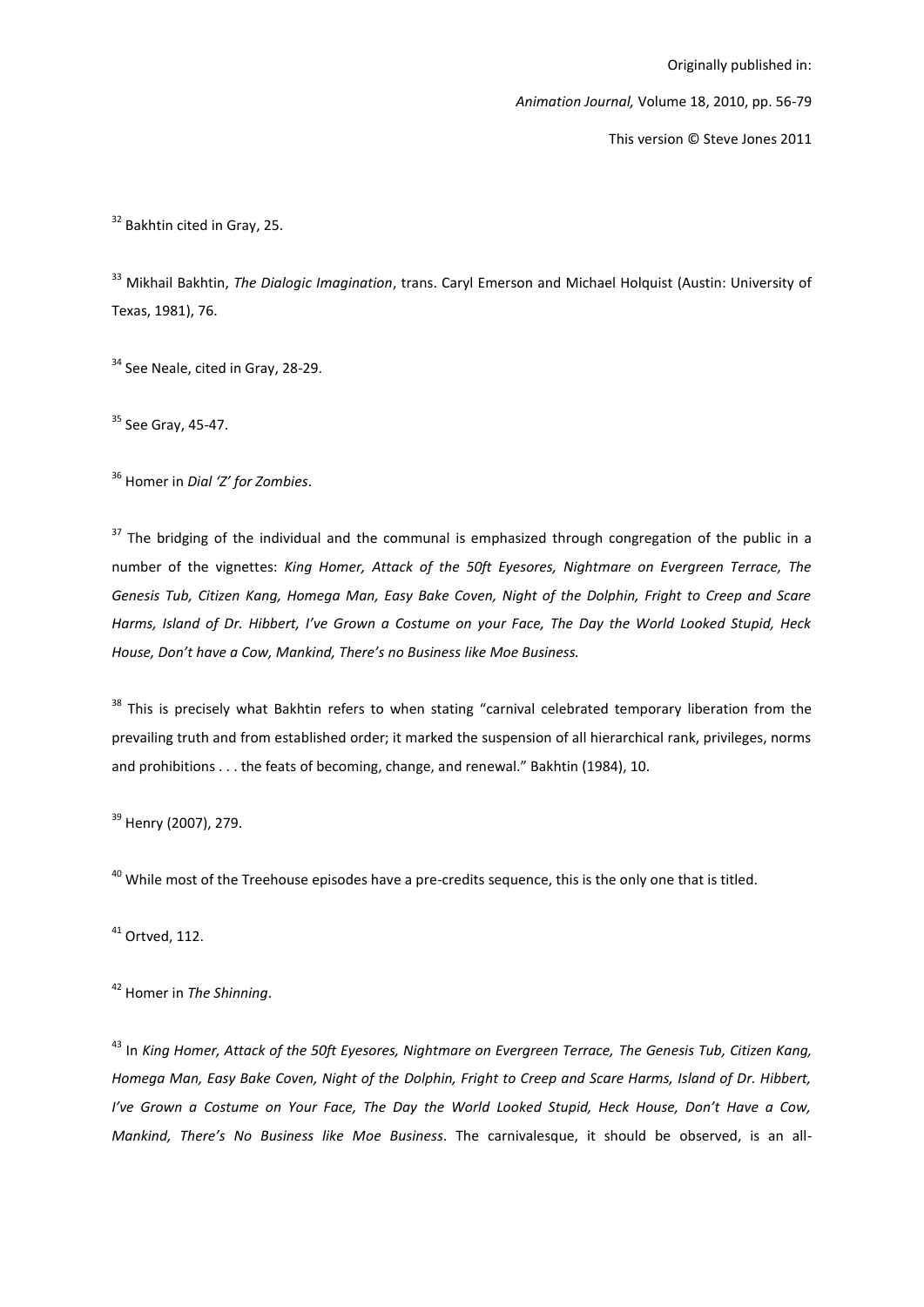Animation Journal, Volume 18, 2010, pp. 56-79

This version © Steve Jones 2011

<sup>32</sup> Bakhtin cited in Gray, 25.

<sup>33</sup> Mikhail Bakhtin. The Diglogic Imagination, trans. Caryl Emerson and Michael Holquist (Austin: University of Texas, 1981), 76.

<sup>34</sup> See Neale, cited in Gray, 28-29.

<sup>35</sup> See Gray, 45-47.

<sup>36</sup> Homer in Dial 'Z' for Zombies.

<sup>37</sup> The bridging of the individual and the communal is emphasized through congregation of the public in a number of the vignettes: King Homer, Attack of the 50ft Eyesores, Nightmare on Evergreen Terrace, The Genesis Tub, Citizen Kang, Homega Man, Easy Bake Coven, Night of the Dolphin, Fright to Creep and Scare Harms. Island of Dr. Hibbert. I've Grown a Costume on your Face. The Day the World Looked Stupid. Heck House, Don't have a Cow, Mankind, There's no Business like Moe Business.

<sup>38</sup> This is precisely what Bakhtin refers to when stating "carnival celebrated temporary liberation from the prevailing truth and from established order; it marked the suspension of all hierarchical rank, privileges, norms and prohibitions . . . the feats of becoming, change, and renewal." Bakhtin (1984), 10.

<sup>39</sup> Henry (2007), 279.

<sup>40</sup> While most of the Treehouse episodes have a pre-credits sequence, this is the only one that is titled.

 $41$  Ortved, 112.

<sup>42</sup> Homer in The Shinning.

<sup>43</sup> In King Homer, Attack of the 50ft Eyesores, Nightmare on Evergreen Terrace, The Genesis Tub, Citizen Kang, Homega Man, Easy Bake Coven, Night of the Dolphin, Fright to Creep and Scare Harms, Island of Dr. Hibbert, I've Grown a Costume on Your Face, The Day the World Looked Stupid, Heck House, Don't Have a Cow, Mankind, There's No Business like Moe Business. The carnivalesque, it should be observed, is an all-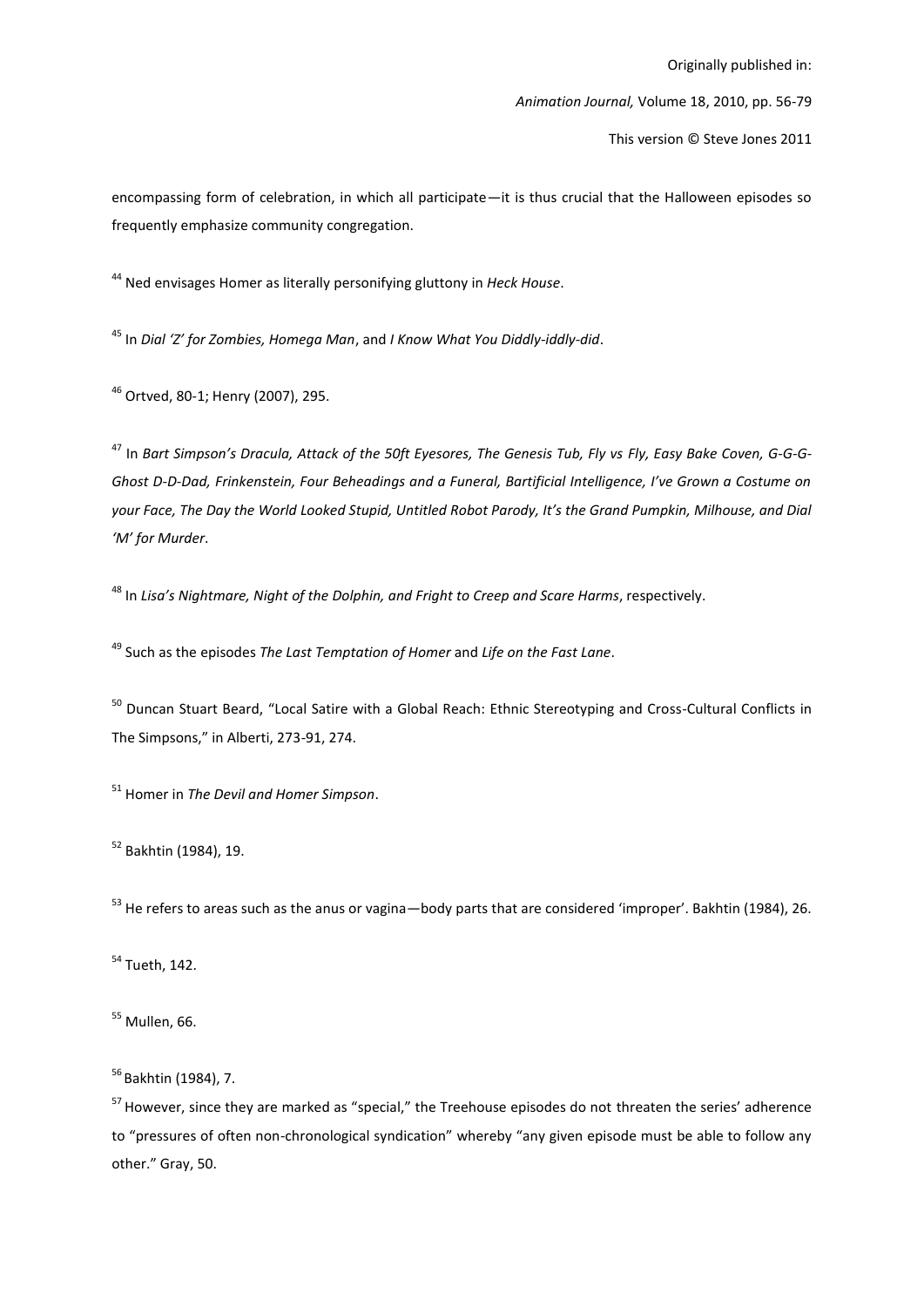This version © Steve Jones 2011

encompassing form of celebration, in which all participate—it is thus crucial that the Halloween episodes so frequently emphasize community congregation.

<sup>44</sup> Ned envisages Homer as literally personifying gluttony in Heck House.

<sup>45</sup> In Dial 'Z' for Zombies, Homega Man, and I Know What You Diddly-iddly-did.

<sup>46</sup> Ortved, 80-1; Henry (2007), 295.

<sup>47</sup> In Bart Simpson's Dracula, Attack of the 50ft Eyesores, The Genesis Tub, Fly vs Fly, Easy Bake Coven, G-G-G-Ghost D-D-Dad, Frinkenstein, Four Beheadings and a Funeral, Bartificial Intelligence, I've Grown a Costume on your Face, The Day the World Looked Stupid, Untitled Robot Parody, It's the Grand Pumpkin, Milhouse, and Dial 'M' for Murder.

<sup>48</sup> In Lisa's Nightmare, Night of the Dolphin, and Fright to Creep and Scare Harms, respectively.

<sup>49</sup> Such as the episodes The Last Temptation of Homer and Life on the Fast Lane.

<sup>50</sup> Duncan Stuart Beard, "Local Satire with a Global Reach: Ethnic Stereotyping and Cross-Cultural Conflicts in The Simpsons," in Alberti, 273-91, 274.

<sup>51</sup> Homer in The Devil and Homer Simpson.

<sup>52</sup> Bakhtin (1984), 19.

<sup>53</sup> He refers to areas such as the anus or vagina-body parts that are considered 'improper'. Bakhtin (1984), 26.

<sup>54</sup> Tueth, 142.

 $55$  Mullen, 66.

<sup>56</sup> Bakhtin (1984), 7.

<sup>57</sup> However, since they are marked as "special," the Treehouse episodes do not threaten the series' adherence to "pressures of often non-chronological syndication" whereby "any given episode must be able to follow any other." Gray, 50.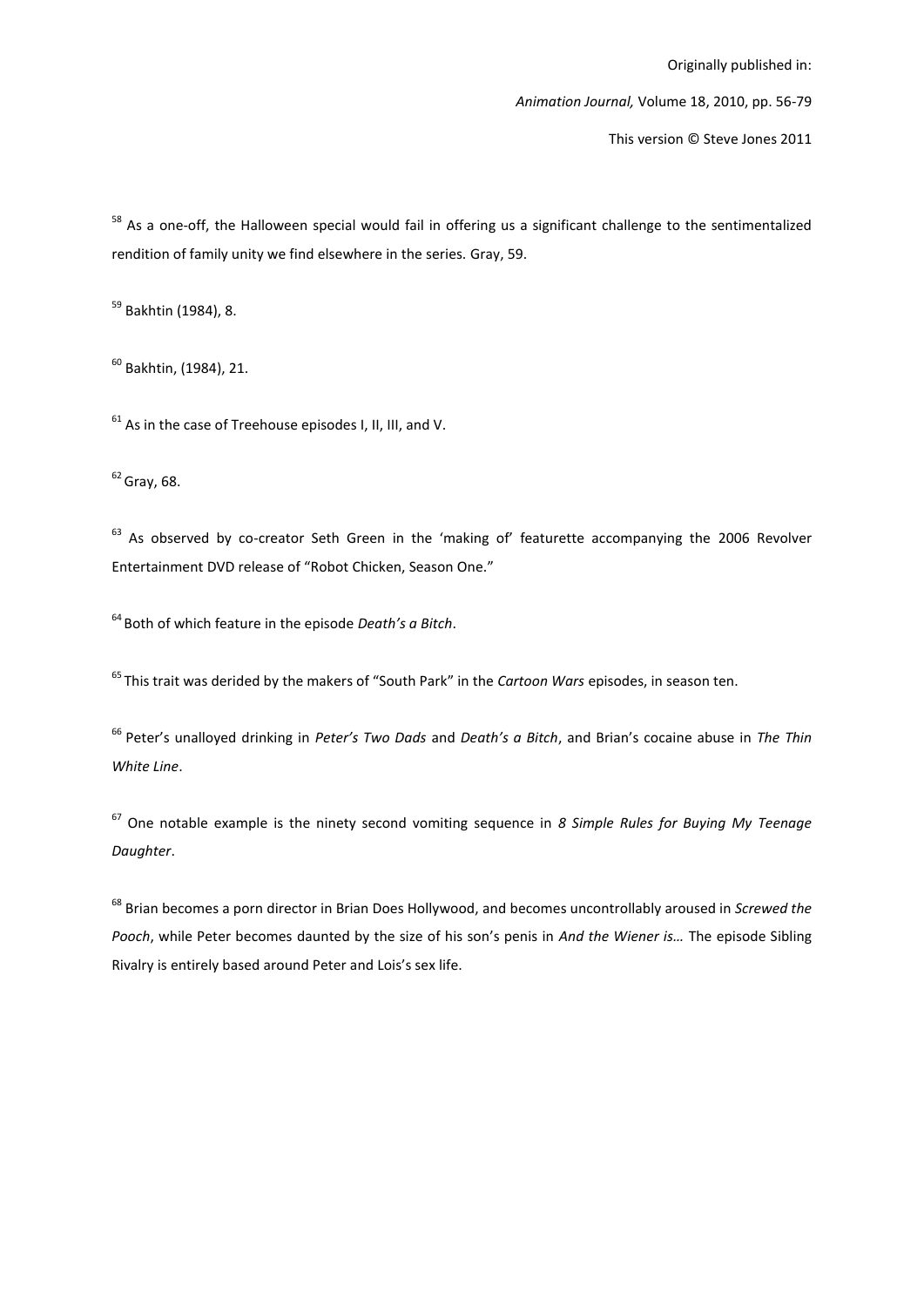Animation Journal, Volume 18, 2010, pp. 56-79

This version © Steve Jones 2011

<sup>58</sup> As a one-off, the Halloween special would fail in offering us a significant challenge to the sentimentalized rendition of family unity we find elsewhere in the series. Gray, 59.

<sup>59</sup> Bakhtin (1984), 8.

 $60$  Bakhtin, (1984), 21.

 $61$  As in the case of Treehouse episodes I, II, III, and V.

 $62$  Gray, 68.

 $63$  As observed by co-creator Seth Green in the 'making of' featurette accompanying the 2006 Revolver Entertainment DVD release of "Robot Chicken, Season One."

 $64$  Both of which feature in the episode *Death's a Bitch*.

 $^{65}$ This trait was derided by the makers of "South Park" in the Cartoon Wars episodes, in season ten.

<sup>66</sup> Peter's unalloyed drinking in Peter's Two Dads and Death's a Bitch, and Brian's cocaine abuse in The Thin White Line.

 $67$  One notable example is the ninety second vomiting sequence in 8 Simple Rules for Buying My Teenage Daughter.

<sup>68</sup> Brian becomes a porn director in Brian Does Hollywood, and becomes uncontrollably aroused in Screwed the Pooch, while Peter becomes daunted by the size of his son's penis in And the Wiener is... The episode Sibling Rivalry is entirely based around Peter and Lois's sex life.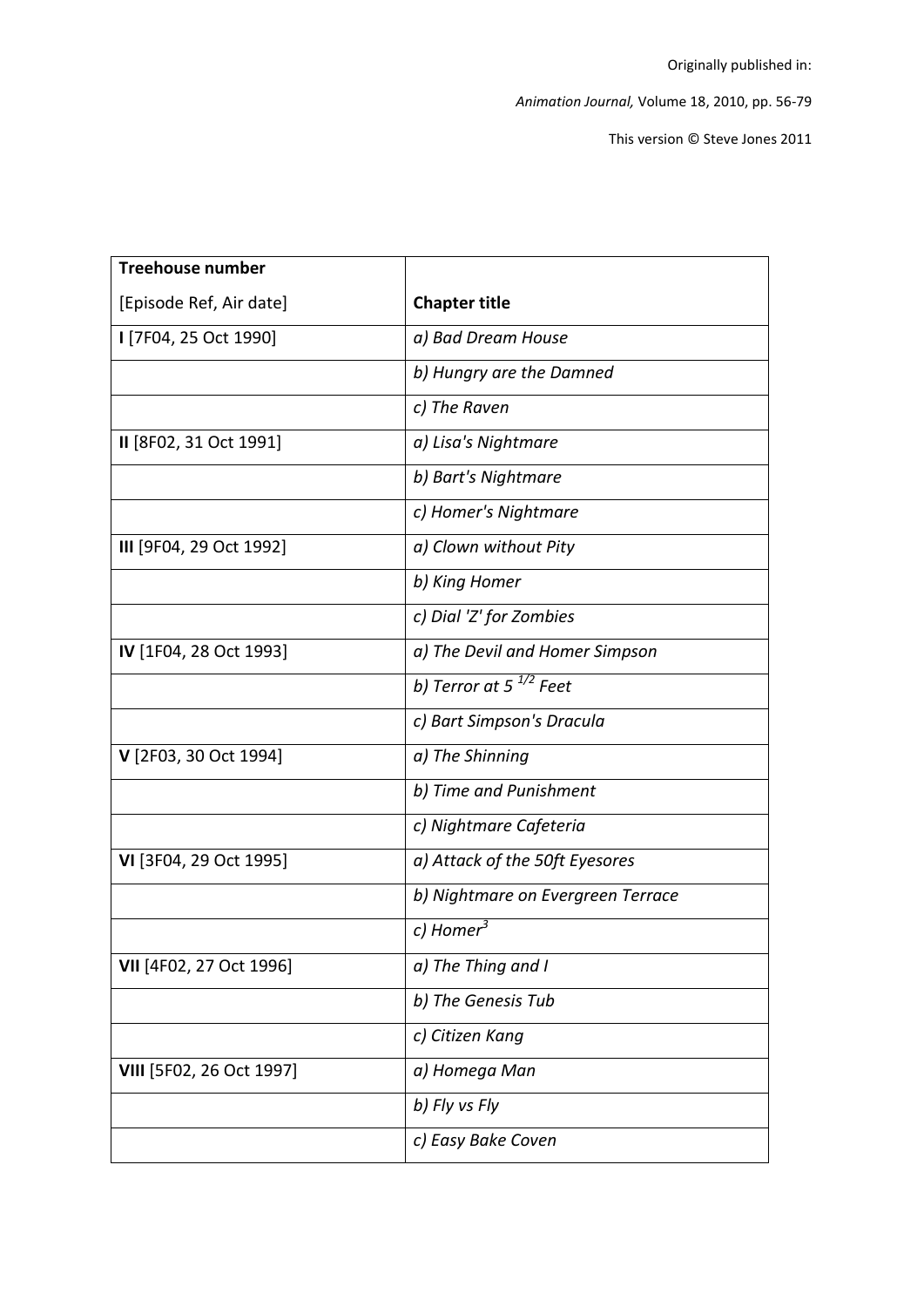This version © Steve Jones 2011

| Treehouse number         |                                   |
|--------------------------|-----------------------------------|
| [Episode Ref, Air date]  | <b>Chapter title</b>              |
| I [7F04, 25 Oct 1990]    | a) Bad Dream House                |
|                          | b) Hungry are the Damned          |
|                          | c) The Raven                      |
| II [8F02, 31 Oct 1991]   | a) Lisa's Nightmare               |
|                          | b) Bart's Nightmare               |
|                          | c) Homer's Nightmare              |
| III [9F04, 29 Oct 1992]  | a) Clown without Pity             |
|                          | b) King Homer                     |
|                          | c) Dial 'Z' for Zombies           |
| IV [1F04, 28 Oct 1993]   | a) The Devil and Homer Simpson    |
|                          | b) Terror at 5 $^{1/2}$ Feet      |
|                          | c) Bart Simpson's Dracula         |
| V [2F03, 30 Oct 1994]    | a) The Shinning                   |
|                          | b) Time and Punishment            |
|                          | c) Nightmare Cafeteria            |
| VI [3F04, 29 Oct 1995]   | a) Attack of the 50ft Eyesores    |
|                          | b) Nightmare on Evergreen Terrace |
|                          | c) Homer <sup>3</sup>             |
| VII [4F02, 27 Oct 1996]  | a) The Thing and I                |
|                          | b) The Genesis Tub                |
|                          | c) Citizen Kanq                   |
| VIII [5F02, 26 Oct 1997] | a) Homega Man                     |
|                          | b) Fly vs Fly                     |
|                          | c) Easy Bake Coven                |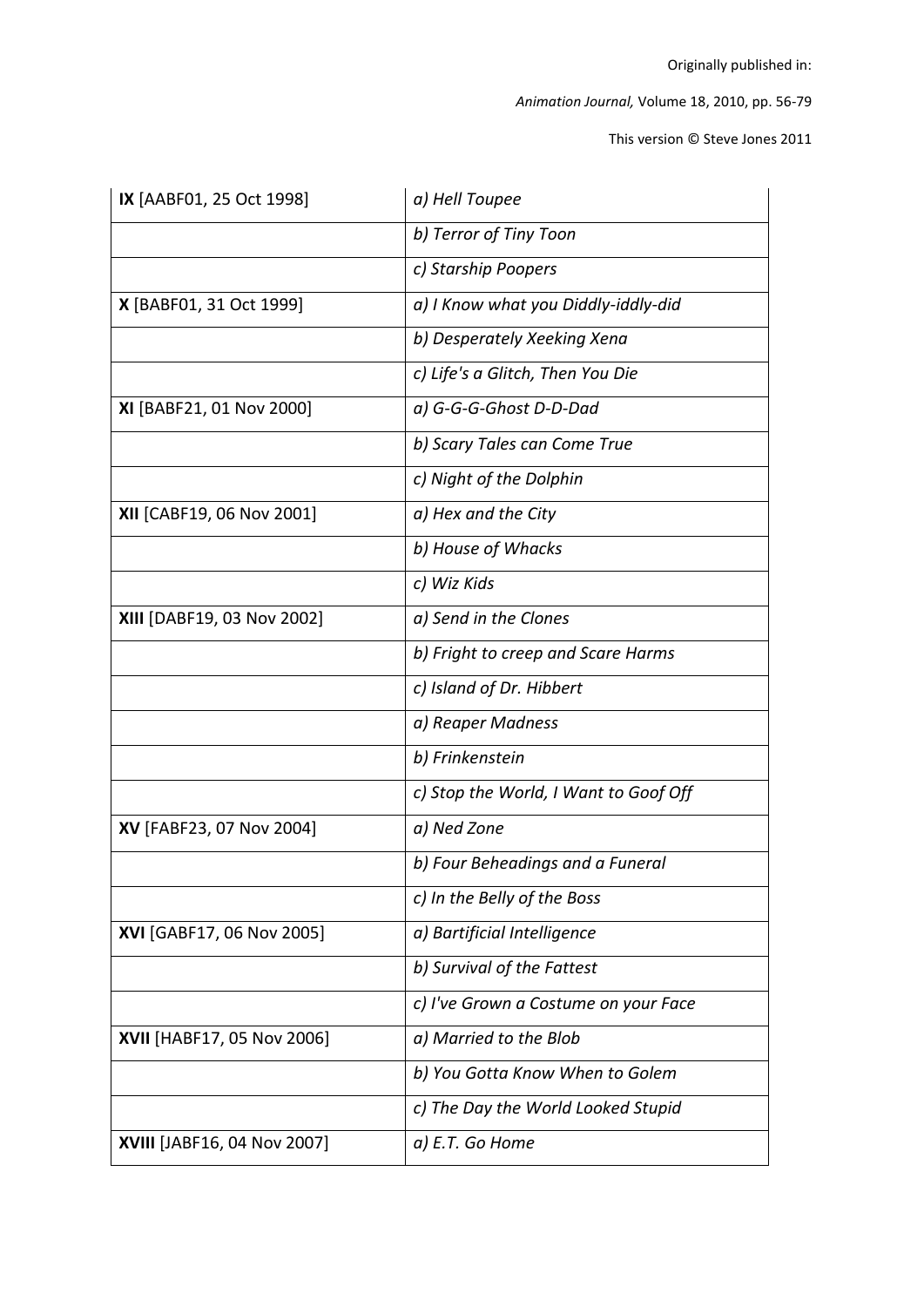This version © Steve Jones 2011

| IX [AABF01, 25 Oct 1998]    | a) Hell Toupee                        |
|-----------------------------|---------------------------------------|
|                             | b) Terror of Tiny Toon                |
|                             | c) Starship Poopers                   |
| X [BABF01, 31 Oct 1999]     | a) I Know what you Diddly-iddly-did   |
|                             | b) Desperately Xeeking Xena           |
|                             | c) Life's a Glitch, Then You Die      |
| XI [BABF21, 01 Nov 2000]    | a) G-G-G-Ghost D-D-Dad                |
|                             | b) Scary Tales can Come True          |
|                             | c) Night of the Dolphin               |
| XII [CABF19, 06 Nov 2001]   | a) Hex and the City                   |
|                             | b) House of Whacks                    |
|                             | c) Wiz Kids                           |
| XIII [DABF19, 03 Nov 2002]  | a) Send in the Clones                 |
|                             | b) Fright to creep and Scare Harms    |
|                             | c) Island of Dr. Hibbert              |
|                             | a) Reaper Madness                     |
|                             | b) Frinkenstein                       |
|                             | c) Stop the World, I Want to Goof Off |
| XV [FABF23, 07 Nov 2004]    | a) Ned Zone                           |
|                             | b) Four Beheadings and a Funeral      |
|                             | c) In the Belly of the Boss           |
| XVI [GABF17, 06 Nov 2005]   | a) Bartificial Intelligence           |
|                             | b) Survival of the Fattest            |
|                             | c) I've Grown a Costume on your Face  |
| XVII [HABF17, 05 Nov 2006]  | a) Married to the Blob                |
|                             | b) You Gotta Know When to Golem       |
|                             | c) The Day the World Looked Stupid    |
| XVIII [JABF16, 04 Nov 2007] | a) E.T. Go Home                       |